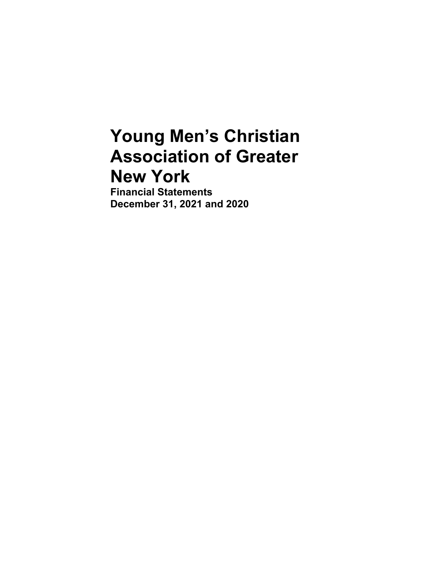# **Young Men's Christian Association of Greater New York**

**Financial Statements December 31, 2021 and 2020**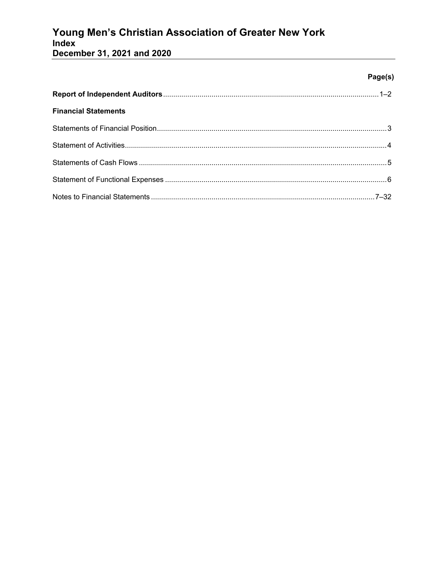# Young Men's Christian Association of Greater New York<br>Index

December 31, 2021 and 2020

### Page(s)

| <b>Financial Statements</b> |  |
|-----------------------------|--|
|                             |  |
|                             |  |
|                             |  |
|                             |  |
|                             |  |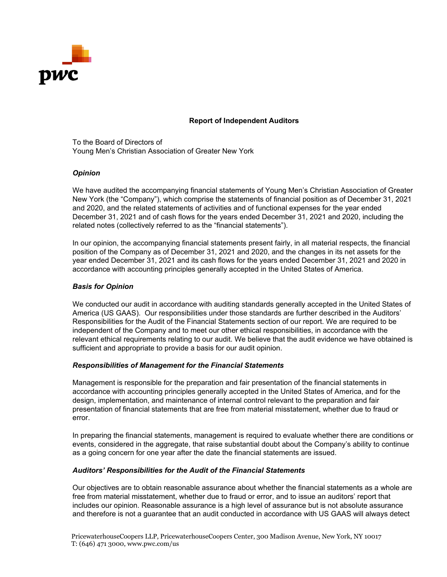

#### **Report of Independent Auditors**

To the Board of Directors of Young Men's Christian Association of Greater New York

#### *Opinion*

We have audited the accompanying financial statements of Young Men's Christian Association of Greater New York (the "Company"), which comprise the statements of financial position as of December 31, 2021 and 2020, and the related statements of activities and of functional expenses for the year ended December 31, 2021 and of cash flows for the years ended December 31, 2021 and 2020, including the related notes (collectively referred to as the "financial statements").

In our opinion, the accompanying financial statements present fairly, in all material respects, the financial position of the Company as of December 31, 2021 and 2020, and the changes in its net assets for the year ended December 31, 2021 and its cash flows for the years ended December 31, 2021 and 2020 in accordance with accounting principles generally accepted in the United States of America.

#### *Basis for Opinion*

We conducted our audit in accordance with auditing standards generally accepted in the United States of America (US GAAS). Our responsibilities under those standards are further described in the Auditors' Responsibilities for the Audit of the Financial Statements section of our report. We are required to be independent of the Company and to meet our other ethical responsibilities, in accordance with the relevant ethical requirements relating to our audit. We believe that the audit evidence we have obtained is sufficient and appropriate to provide a basis for our audit opinion.

#### *Responsibilities of Management for the Financial Statements*

Management is responsible for the preparation and fair presentation of the financial statements in accordance with accounting principles generally accepted in the United States of America, and for the design, implementation, and maintenance of internal control relevant to the preparation and fair presentation of financial statements that are free from material misstatement, whether due to fraud or error.

In preparing the financial statements, management is required to evaluate whether there are conditions or events, considered in the aggregate, that raise substantial doubt about the Company's ability to continue as a going concern for one year after the date the financial statements are issued.

#### *Auditors' Responsibilities for the Audit of the Financial Statements*

Our objectives are to obtain reasonable assurance about whether the financial statements as a whole are free from material misstatement, whether due to fraud or error, and to issue an auditors' report that includes our opinion. Reasonable assurance is a high level of assurance but is not absolute assurance and therefore is not a guarantee that an audit conducted in accordance with US GAAS will always detect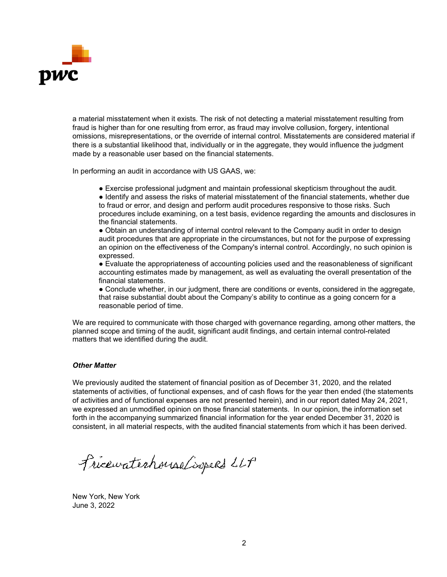

a material misstatement when it exists. The risk of not detecting a material misstatement resulting from fraud is higher than for one resulting from error, as fraud may involve collusion, forgery, intentional omissions, misrepresentations, or the override of internal control. Misstatements are considered material if there is a substantial likelihood that, individually or in the aggregate, they would influence the judgment made by a reasonable user based on the financial statements.

In performing an audit in accordance with US GAAS, we:

● Exercise professional judgment and maintain professional skepticism throughout the audit.

● Identify and assess the risks of material misstatement of the financial statements, whether due to fraud or error, and design and perform audit procedures responsive to those risks. Such procedures include examining, on a test basis, evidence regarding the amounts and disclosures in the financial statements.

• Obtain an understanding of internal control relevant to the Company audit in order to design audit procedures that are appropriate in the circumstances, but not for the purpose of expressing an opinion on the effectiveness of the Company's internal control. Accordingly, no such opinion is expressed.

● Evaluate the appropriateness of accounting policies used and the reasonableness of significant accounting estimates made by management, as well as evaluating the overall presentation of the financial statements.

● Conclude whether, in our judgment, there are conditions or events, considered in the aggregate, that raise substantial doubt about the Company's ability to continue as a going concern for a reasonable period of time.

We are required to communicate with those charged with governance regarding, among other matters, the planned scope and timing of the audit, significant audit findings, and certain internal control-related matters that we identified during the audit.

#### *Other Matter*

We previously audited the statement of financial position as of December 31, 2020, and the related statements of activities, of functional expenses, and of cash flows for the year then ended (the statements of activities and of functional expenses are not presented herein), and in our report dated May 24, 2021, we expressed an unmodified opinion on those financial statements. In our opinion, the information set forth in the accompanying summarized financial information for the year ended December 31, 2020 is consistent, in all material respects, with the audited financial statements from which it has been derived.

Fricewaterhouse Coopers LLP

New York, New York June 3, 2022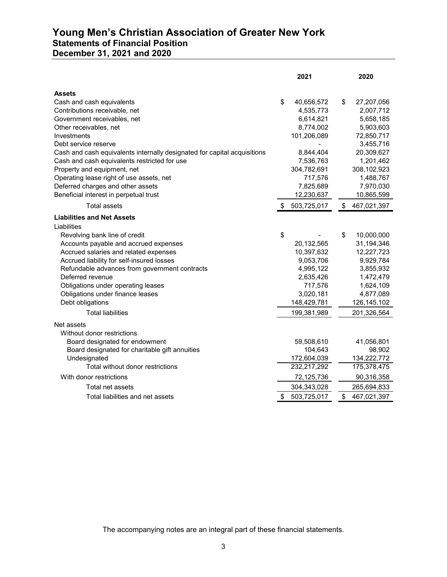# **Young Men's Christian Association of Greater New York Statements of Financial Position December 31, 2021 and 2020**

|                                                                          | 2021              | 2020              |
|--------------------------------------------------------------------------|-------------------|-------------------|
| <b>Assets</b>                                                            |                   |                   |
| Cash and cash equivalents                                                | \$<br>40,656,572  | \$<br>27,207,056  |
| Contributions receivable, net                                            | 4,535,773         | 2,007,712         |
| Government receivables, net                                              | 6,614,821         | 5,658,185         |
| Other receivables, net                                                   | 8,774,002         | 5,903,603         |
| Investments                                                              | 101,206,089       | 72,850,717        |
| Debt service reserve                                                     |                   | 3,455,716         |
| Cash and cash equivalents internally designated for capital acquisitions | 8,844,404         | 20,309,627        |
| Cash and cash equivalents restricted for use                             | 7,536,763         | 1,201,462         |
| Property and equipment, net                                              | 304,782,691       | 308,102,923       |
| Operating lease right of use assets, net                                 | 717,576           | 1,488,767         |
| Deferred charges and other assets                                        | 7,825,689         | 7,970,030         |
| Beneficial interest in perpetual trust                                   | 12,230,637        | 10,865,599        |
| <b>Total assets</b>                                                      | \$<br>503,725,017 | \$<br>467,021,397 |
| <b>Liabilities and Net Assets</b>                                        |                   |                   |
| Liabilities                                                              |                   |                   |
| Revolving bank line of credit                                            | \$                | \$<br>10,000,000  |
| Accounts payable and accrued expenses                                    | 20,132,565        | 31,194,346        |
| Accrued salaries and related expenses                                    | 10,397,632        | 12,227,723        |
| Accrued liability for self-insured losses                                | 9,053,706         | 9,929,784         |
| Refundable advances from government contracts                            | 4,995,122         | 3,855,932         |
| Deferred revenue                                                         | 2,635,426         | 1,472,479         |
| Obligations under operating leases                                       | 717,576           | 1,624,109         |
| Obligations under finance leases                                         | 3,020,181         | 4,877,089         |
| Debt obligations                                                         | 148,429,781       | 126,145,102       |
| <b>Total liabilities</b>                                                 | 199,381,989       | 201,326,564       |
| Net assets                                                               |                   |                   |
| Without donor restrictions                                               |                   |                   |
| Board designated for endowment                                           | 59,508,610        | 41,056,801        |
| Board designated for charitable gift annuities                           | 104,643           | 98,902            |
| Undesignated                                                             | 172,604,039       | 134,222,772       |
| Total without donor restrictions                                         | 232,217,292       | 175,378,475       |
| With donor restrictions                                                  | 72,125,736        | 90,316,358        |
| Total net assets                                                         | 304,343,028       | 265,694,833       |
| Total liabilities and net assets                                         | \$<br>503,725,017 | \$<br>467,021,397 |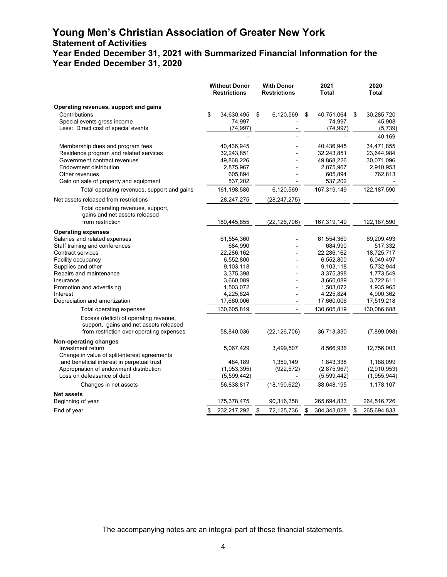# **Young Men's Christian Association of Greater New York Statement of Activities Year Ended December 31, 2021 with Summarized Financial Information for the Year Ended December 31, 2020**

|                                                                                                                              | <b>Without Donor</b><br><b>Restrictions</b> | <b>With Donor</b><br><b>Restrictions</b> | 2021<br><b>Total</b> | 2020<br><b>Total</b> |
|------------------------------------------------------------------------------------------------------------------------------|---------------------------------------------|------------------------------------------|----------------------|----------------------|
| Operating revenues, support and gains                                                                                        |                                             |                                          |                      |                      |
| Contributions                                                                                                                | \$<br>34,630,495                            | \$<br>6,120,569                          | 40,751,064<br>\$     | \$<br>30,285,720     |
| Special events gross income                                                                                                  | 74,997                                      |                                          | 74,997               | 45,908               |
| Less: Direct cost of special events                                                                                          | (74, 997)                                   |                                          | (74, 997)            | (5,739)              |
|                                                                                                                              |                                             |                                          |                      | 40,169               |
| Membership dues and program fees                                                                                             | 40,436,945                                  |                                          | 40,436,945           | 34,471,855           |
| Residence program and related services                                                                                       | 32,243,851                                  |                                          | 32,243,851           | 23.644.984           |
| Government contract revenues                                                                                                 | 49,868,226                                  |                                          | 49,868,226           | 30,071,096           |
| Endowment distribution                                                                                                       | 2,875,967                                   |                                          | 2,875,967            | 2,910,953            |
| Other revenues                                                                                                               | 605,894                                     |                                          | 605,894              | 762,813              |
| Gain on sale of property and equipment                                                                                       | 537,202                                     |                                          | 537,202              |                      |
| Total operating revenues, support and gains                                                                                  | 161,198,580                                 | 6,120,569                                | 167,319,149          | 122, 187, 590        |
| Net assets released from restrictions                                                                                        | 28,247,275                                  | (28, 247, 275)                           |                      |                      |
| Total operating revenues, support,<br>gains and net assets released<br>from restriction                                      | 189,445,855                                 | (22, 126, 706)                           | 167,319,149          | 122,187,590          |
| <b>Operating expenses</b>                                                                                                    |                                             |                                          |                      |                      |
| Salaries and related expenses                                                                                                | 61,554,360                                  |                                          | 61,554,360           | 69,209,493           |
| Staff training and conferences                                                                                               | 684,990                                     |                                          | 684,990              | 517,332              |
| <b>Contract services</b>                                                                                                     | 22,286,162                                  |                                          | 22,286,162           | 18,725,717           |
| Facility occupancy                                                                                                           | 6,552,800                                   |                                          | 6,552,800            | 6,049,497            |
| Supplies and other                                                                                                           | 9,103,118                                   |                                          | 9,103,118            | 5,732,944            |
| Repairs and maintenance                                                                                                      | 3,375,398                                   |                                          | 3,375,398            | 1,773,549            |
| Insurance                                                                                                                    | 3,660,089                                   |                                          | 3,660,089            | 3,722,611            |
| Promotion and advertising                                                                                                    | 1,503,072                                   |                                          | 1,503,072            | 1,935,965            |
| Interest                                                                                                                     | 4,225,824                                   |                                          | 4,225,824            | 4,900,362            |
| Depreciation and amortization                                                                                                | 17,660,006                                  |                                          | 17,660,006           | 17,519,218           |
| Total operating expenses                                                                                                     | 130,605,819                                 |                                          | 130,605,819          | 130,086,688          |
| Excess (deficit) of operating revenue,<br>support, gains and net assets released<br>from restriction over operating expenses | 58,840,036                                  | (22, 126, 706)                           | 36,713,330           | (7,899,098)          |
| Non-operating changes                                                                                                        |                                             |                                          |                      |                      |
| Investment return<br>Change in value of split-interest agreements                                                            | 5,067,429                                   | 3,499,507                                | 8,566,936            | 12,756,003           |
| and beneficial interest in perpetual trust                                                                                   | 484,189                                     | 1,359,149                                | 1,843,338            | 1,188,099            |
| Appropriation of endowment distribution                                                                                      | (1,953,395)                                 | (922, 572)                               | (2,875,967)          | (2,910,953)          |
| Loss on defeasance of debt                                                                                                   | (5,599,442)                                 |                                          | (5,599,442)          | (1,955,944)          |
| Changes in net assets                                                                                                        | 56,838,817                                  | (18, 190, 622)                           | 38,648,195           | 1,178,107            |
| <b>Net assets</b>                                                                                                            |                                             |                                          |                      |                      |
| Beginning of year                                                                                                            | 175,378,475                                 | 90,316,358                               | 265,694,833          | 264,516,726          |
| End of year                                                                                                                  | 232,217,292<br>\$                           | \$<br>72,125,736                         | \$<br>304,343,028    | 265,694,833<br>\$    |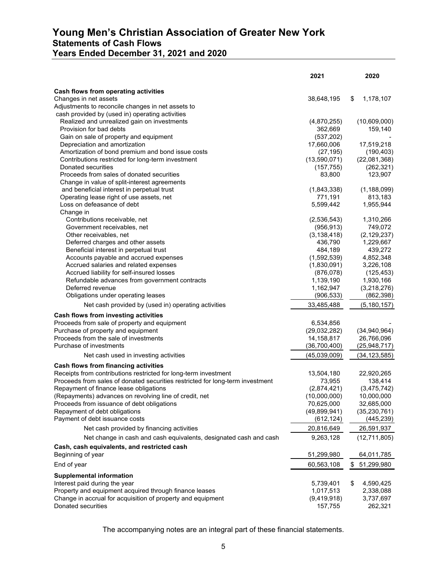# **Young Men's Christian Association of Greater New York Statements of Cash Flows Years Ended December 31, 2021 and 2020**

|                                                                               | 2021           | 2020             |
|-------------------------------------------------------------------------------|----------------|------------------|
| Cash flows from operating activities                                          |                |                  |
| Changes in net assets                                                         | 38,648,195     | \$<br>1,178,107  |
| Adjustments to reconcile changes in net assets to                             |                |                  |
| cash provided by (used in) operating activities                               |                |                  |
| Realized and unrealized gain on investments                                   | (4,870,255)    | (10,609,000)     |
| Provision for bad debts                                                       | 362,669        | 159,140          |
| Gain on sale of property and equipment                                        | (537, 202)     |                  |
| Depreciation and amortization                                                 | 17,660,006     | 17,519,218       |
| Amortization of bond premium and bond issue costs                             | (27, 195)      | (190, 403)       |
| Contributions restricted for long-term investment                             | (13,590,071)   | (22,081,368)     |
| Donated securities                                                            | (157, 755)     | (262, 321)       |
| Proceeds from sales of donated securities                                     | 83,800         | 123,907          |
| Change in value of split-interest agreements                                  |                |                  |
| and beneficial interest in perpetual trust                                    | (1,843,338)    | (1, 188, 099)    |
| Operating lease right of use assets, net                                      | 771,191        | 813,183          |
| Loss on defeasance of debt                                                    | 5,599,442      | 1,955,944        |
| Change in                                                                     |                |                  |
| Contributions receivable, net                                                 | (2,536,543)    | 1,310,266        |
| Government receivables, net                                                   | (956, 913)     | 749,072          |
| Other receivables, net                                                        | (3, 138, 418)  | (2, 129, 237)    |
| Deferred charges and other assets                                             | 436,790        | 1,229,667        |
| Beneficial interest in perpetual trust                                        | 484,189        | 439,272          |
| Accounts payable and accrued expenses                                         | (1,592,539)    | 4,852,348        |
| Accrued salaries and related expenses                                         | (1,830,091)    | 3,226,108        |
| Accrued liability for self-insured losses                                     | (876, 078)     | (125, 453)       |
| Refundable advances from government contracts                                 | 1,139,190      | 1,930,166        |
| Deferred revenue                                                              | 1,162,947      | (3,218,276)      |
| Obligations under operating leases                                            | (906, 533)     | (862, 398)       |
| Net cash provided by (used in) operating activities                           | 33,485,488     | (5, 180, 157)    |
| Cash flows from investing activities                                          |                |                  |
| Proceeds from sale of property and equipment                                  | 6,534,856      |                  |
| Purchase of property and equipment                                            | (29,032,282)   | (34,940,964)     |
| Proceeds from the sale of investments                                         | 14,158,817     | 26,766,096       |
| Purchase of investments                                                       | (36,700,400)   | (25, 948, 717)   |
| Net cash used in investing activities                                         | (45,039,009)   | (34, 123, 585)   |
| Cash flows from financing activities                                          |                |                  |
| Receipts from contributions restricted for long-term investment               | 13,504,180     | 22,920,265       |
| Proceeds from sales of donated securities restricted for long-term investment | 73,955         | 138,414          |
| Repayment of finance lease obligations                                        | (2,874,421)    | (3,475,742)      |
| (Repayments) advances on revolving line of credit, net                        | (10,000,000)   | 10,000,000       |
| Proceeds from issuance of debt obligations                                    | 70,625,000     | 32,685,000       |
| Repayment of debt obligations                                                 | (49, 899, 941) | (35, 230, 761)   |
| Payment of debt issuance costs                                                | (612, 124)     | (445, 239)       |
| Net cash provided by financing activities                                     | 20,816,649     | 26,591,937       |
| Net change in cash and cash equivalents, designated cash and cash             | 9,263,128      | (12,711,805)     |
| Cash, cash equivalents, and restricted cash                                   |                |                  |
| Beginning of year                                                             | 51,299,980     | 64,011,785       |
| End of year                                                                   | 60,563,108     | \$<br>51,299,980 |
| <b>Supplemental information</b>                                               |                |                  |
| Interest paid during the year                                                 | 5,739,401      | \$<br>4,590,425  |
| Property and equipment acquired through finance leases                        | 1,017,513      | 2,338,088        |
| Change in accrual for acquisition of property and equipment                   | (9,419,918)    | 3,737,697        |
| Donated securities                                                            | 157,755        | 262,321          |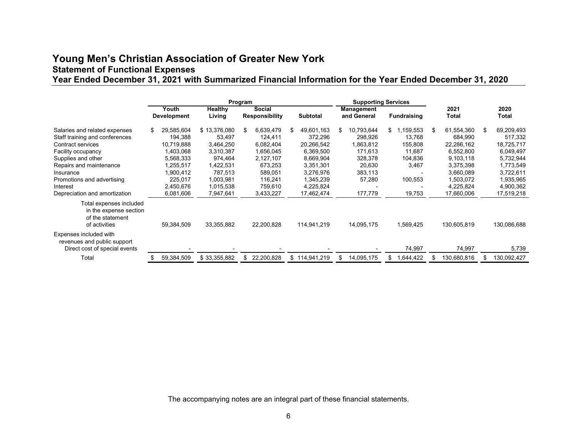# **Young Men's Christian Association of Greater New York Statement of Functional Expenses Year Ended December 31, 2021 with Summarized Financial Information for the Year Ended December 31, 2020**

|                                                                                                                                                                                                                                                     |                                                                                                                              | Program<br><b>Supporting Services</b>                                                                                      |    |                                                                                                                      |    |                                                                                                                                 |                                                                                                          |                                                                                         |    |                                                                                                                                 |     |                                                                                                                                 |
|-----------------------------------------------------------------------------------------------------------------------------------------------------------------------------------------------------------------------------------------------------|------------------------------------------------------------------------------------------------------------------------------|----------------------------------------------------------------------------------------------------------------------------|----|----------------------------------------------------------------------------------------------------------------------|----|---------------------------------------------------------------------------------------------------------------------------------|----------------------------------------------------------------------------------------------------------|-----------------------------------------------------------------------------------------|----|---------------------------------------------------------------------------------------------------------------------------------|-----|---------------------------------------------------------------------------------------------------------------------------------|
|                                                                                                                                                                                                                                                     | Youth<br>Development                                                                                                         | Healthy<br>Living                                                                                                          |    | <b>Social</b><br><b>Responsibility</b>                                                                               |    | <b>Subtotal</b>                                                                                                                 | Management<br>and General                                                                                | <b>Fundraising</b>                                                                      |    | 2021<br>Total                                                                                                                   |     | 2020<br>Total                                                                                                                   |
| Salaries and related expenses<br>Staff training and conferences<br>Contract services<br>Facility occupancy<br>Supplies and other<br>Repairs and maintenance<br>Insurance<br>Promotions and advertising<br>Interest<br>Depreciation and amortization | 29,585,604<br>194,388<br>10,719,888<br>1,403,068<br>5,568,333<br>1,255,517<br>1,900,412<br>225.017<br>2,450,676<br>6,081,606 | \$13,376,080<br>53,497<br>3,464,250<br>3,310,387<br>974,464<br>1,422,531<br>787,513<br>1,003,981<br>1,015,538<br>7,947,641 | \$ | 6,639,479<br>124,411<br>6,082,404<br>1,656,045<br>2,127,107<br>673,253<br>589,051<br>116,241<br>759,610<br>3,433,227 | S  | 49,601,163<br>372,296<br>20,266,542<br>6,369,500<br>8,669,904<br>3,351,301<br>3,276,976<br>1,345,239<br>4,225,824<br>17,462,474 | \$<br>10.793.644<br>298,926<br>1,863,812<br>171,613<br>328,378<br>20,630<br>383,113<br>57,280<br>177,779 | \$<br>1,159,553<br>13,768<br>155,808<br>11,687<br>104,836<br>3,467<br>100,553<br>19,753 | S. | 61,554,360<br>684,990<br>22,286,162<br>6,552,800<br>9,103,118<br>3,375,398<br>3,660,089<br>1,503,072<br>4,225,824<br>17,660,006 | \$. | 69,209,493<br>517,332<br>18,725,717<br>6,049,497<br>5,732,944<br>1,773,549<br>3,722,611<br>1,935,965<br>4,900,362<br>17,519,218 |
| Total expenses included<br>in the expense section<br>of the statement<br>of activities                                                                                                                                                              | 59,384,509                                                                                                                   | 33,355,882                                                                                                                 |    | 22,200,828                                                                                                           |    | 114,941,219                                                                                                                     | 14,095,175                                                                                               | 1,569,425                                                                               |    | 130,605,819                                                                                                                     |     | 130,086,688                                                                                                                     |
| Expenses included with<br>revenues and public support<br>Direct cost of special events<br>Total                                                                                                                                                     | 59,384,509                                                                                                                   | \$33,355,882                                                                                                               | \$ | 22,200,828                                                                                                           | \$ | 114,941,219                                                                                                                     | \$<br>14,095,175                                                                                         | \$<br>74,997<br>1,644,422                                                               |    | 74,997<br>130,680,816                                                                                                           |     | 5,739<br>130,092,427                                                                                                            |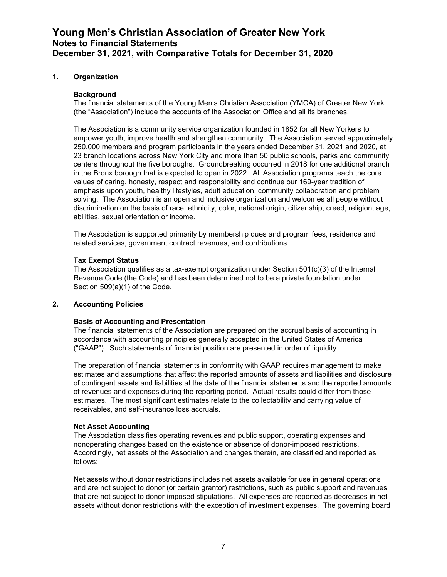#### **1. Organization**

#### **Background**

The financial statements of the Young Men's Christian Association (YMCA) of Greater New York (the "Association") include the accounts of the Association Office and all its branches.

The Association is a community service organization founded in 1852 for all New Yorkers to empower youth, improve health and strengthen community. The Association served approximately 250,000 members and program participants in the years ended December 31, 2021 and 2020, at 23 branch locations across New York City and more than 50 public schools, parks and community centers throughout the five boroughs. Groundbreaking occurred in 2018 for one additional branch in the Bronx borough that is expected to open in 2022. All Association programs teach the core values of caring, honesty, respect and responsibility and continue our 169-year tradition of emphasis upon youth, healthy lifestyles, adult education, community collaboration and problem solving. The Association is an open and inclusive organization and welcomes all people without discrimination on the basis of race, ethnicity, color, national origin, citizenship, creed, religion, age, abilities, sexual orientation or income.

The Association is supported primarily by membership dues and program fees, residence and related services, government contract revenues, and contributions.

#### **Tax Exempt Status**

The Association qualifies as a tax-exempt organization under Section 501(c)(3) of the Internal Revenue Code (the Code) and has been determined not to be a private foundation under Section 509(a)(1) of the Code.

#### **2. Accounting Policies**

#### **Basis of Accounting and Presentation**

The financial statements of the Association are prepared on the accrual basis of accounting in accordance with accounting principles generally accepted in the United States of America ("GAAP"). Such statements of financial position are presented in order of liquidity.

The preparation of financial statements in conformity with GAAP requires management to make estimates and assumptions that affect the reported amounts of assets and liabilities and disclosure of contingent assets and liabilities at the date of the financial statements and the reported amounts of revenues and expenses during the reporting period. Actual results could differ from those estimates. The most significant estimates relate to the collectability and carrying value of receivables, and self-insurance loss accruals.

#### **Net Asset Accounting**

The Association classifies operating revenues and public support, operating expenses and nonoperating changes based on the existence or absence of donor-imposed restrictions. Accordingly, net assets of the Association and changes therein, are classified and reported as follows:

Net assets without donor restrictions includes net assets available for use in general operations and are not subject to donor (or certain grantor) restrictions, such as public support and revenues that are not subject to donor-imposed stipulations. All expenses are reported as decreases in net assets without donor restrictions with the exception of investment expenses. The governing board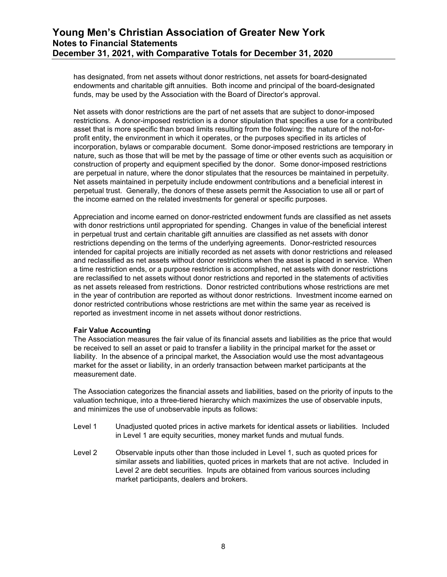has designated, from net assets without donor restrictions, net assets for board-designated endowments and charitable gift annuities. Both income and principal of the board-designated funds, may be used by the Association with the Board of Director's approval.

Net assets with donor restrictions are the part of net assets that are subject to donor-imposed restrictions. A donor-imposed restriction is a donor stipulation that specifies a use for a contributed asset that is more specific than broad limits resulting from the following: the nature of the not-forprofit entity, the environment in which it operates, or the purposes specified in its articles of incorporation, bylaws or comparable document. Some donor-imposed restrictions are temporary in nature, such as those that will be met by the passage of time or other events such as acquisition or construction of property and equipment specified by the donor. Some donor-imposed restrictions are perpetual in nature, where the donor stipulates that the resources be maintained in perpetuity. Net assets maintained in perpetuity include endowment contributions and a beneficial interest in perpetual trust. Generally, the donors of these assets permit the Association to use all or part of the income earned on the related investments for general or specific purposes.

Appreciation and income earned on donor-restricted endowment funds are classified as net assets with donor restrictions until appropriated for spending. Changes in value of the beneficial interest in perpetual trust and certain charitable gift annuities are classified as net assets with donor restrictions depending on the terms of the underlying agreements. Donor-restricted resources intended for capital projects are initially recorded as net assets with donor restrictions and released and reclassified as net assets without donor restrictions when the asset is placed in service. When a time restriction ends, or a purpose restriction is accomplished, net assets with donor restrictions are reclassified to net assets without donor restrictions and reported in the statements of activities as net assets released from restrictions. Donor restricted contributions whose restrictions are met in the year of contribution are reported as without donor restrictions. Investment income earned on donor restricted contributions whose restrictions are met within the same year as received is reported as investment income in net assets without donor restrictions.

#### **Fair Value Accounting**

The Association measures the fair value of its financial assets and liabilities as the price that would be received to sell an asset or paid to transfer a liability in the principal market for the asset or liability. In the absence of a principal market, the Association would use the most advantageous market for the asset or liability, in an orderly transaction between market participants at the measurement date.

The Association categorizes the financial assets and liabilities, based on the priority of inputs to the valuation technique, into a three-tiered hierarchy which maximizes the use of observable inputs, and minimizes the use of unobservable inputs as follows:

- Level 1 Unadjusted quoted prices in active markets for identical assets or liabilities. Included in Level 1 are equity securities, money market funds and mutual funds.
- Level 2 Observable inputs other than those included in Level 1, such as quoted prices for similar assets and liabilities, quoted prices in markets that are not active. Included in Level 2 are debt securities. Inputs are obtained from various sources including market participants, dealers and brokers.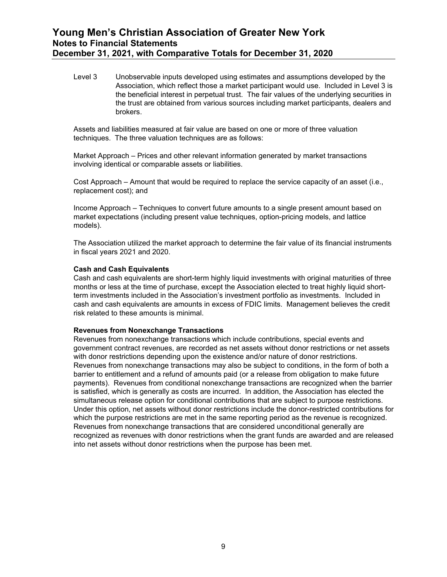Level 3 Unobservable inputs developed using estimates and assumptions developed by the Association, which reflect those a market participant would use. Included in Level 3 is the beneficial interest in perpetual trust. The fair values of the underlying securities in the trust are obtained from various sources including market participants, dealers and brokers.

Assets and liabilities measured at fair value are based on one or more of three valuation techniques. The three valuation techniques are as follows:

Market Approach – Prices and other relevant information generated by market transactions involving identical or comparable assets or liabilities.

Cost Approach – Amount that would be required to replace the service capacity of an asset (i.e., replacement cost); and

Income Approach – Techniques to convert future amounts to a single present amount based on market expectations (including present value techniques, option-pricing models, and lattice models).

The Association utilized the market approach to determine the fair value of its financial instruments in fiscal years 2021 and 2020.

#### **Cash and Cash Equivalents**

Cash and cash equivalents are short-term highly liquid investments with original maturities of three months or less at the time of purchase, except the Association elected to treat highly liquid shortterm investments included in the Association's investment portfolio as investments. Included in cash and cash equivalents are amounts in excess of FDIC limits. Management believes the credit risk related to these amounts is minimal.

#### **Revenues from Nonexchange Transactions**

Revenues from nonexchange transactions which include contributions, special events and government contract revenues, are recorded as net assets without donor restrictions or net assets with donor restrictions depending upon the existence and/or nature of donor restrictions. Revenues from nonexchange transactions may also be subject to conditions, in the form of both a barrier to entitlement and a refund of amounts paid (or a release from obligation to make future payments). Revenues from conditional nonexchange transactions are recognized when the barrier is satisfied, which is generally as costs are incurred. In addition, the Association has elected the simultaneous release option for conditional contributions that are subject to purpose restrictions. Under this option, net assets without donor restrictions include the donor-restricted contributions for which the purpose restrictions are met in the same reporting period as the revenue is recognized. Revenues from nonexchange transactions that are considered unconditional generally are recognized as revenues with donor restrictions when the grant funds are awarded and are released into net assets without donor restrictions when the purpose has been met.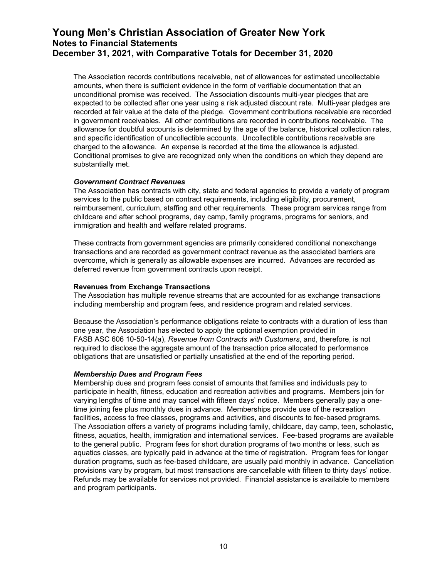The Association records contributions receivable, net of allowances for estimated uncollectable amounts, when there is sufficient evidence in the form of verifiable documentation that an unconditional promise was received. The Association discounts multi-year pledges that are expected to be collected after one year using a risk adjusted discount rate. Multi-year pledges are recorded at fair value at the date of the pledge. Government contributions receivable are recorded in government receivables. All other contributions are recorded in contributions receivable. The allowance for doubtful accounts is determined by the age of the balance, historical collection rates, and specific identification of uncollectible accounts. Uncollectible contributions receivable are charged to the allowance. An expense is recorded at the time the allowance is adjusted. Conditional promises to give are recognized only when the conditions on which they depend are substantially met.

#### *Government Contract Revenues*

The Association has contracts with city, state and federal agencies to provide a variety of program services to the public based on contract requirements, including eligibility, procurement, reimbursement, curriculum, staffing and other requirements. These program services range from childcare and after school programs, day camp, family programs, programs for seniors, and immigration and health and welfare related programs.

These contracts from government agencies are primarily considered conditional nonexchange transactions and are recorded as government contract revenue as the associated barriers are overcome, which is generally as allowable expenses are incurred. Advances are recorded as deferred revenue from government contracts upon receipt.

#### **Revenues from Exchange Transactions**

The Association has multiple revenue streams that are accounted for as exchange transactions including membership and program fees, and residence program and related services.

Because the Association's performance obligations relate to contracts with a duration of less than one year, the Association has elected to apply the optional exemption provided in FASB ASC 606 10-50-14(a), *Revenue from Contracts with Customers*, and, therefore, is not required to disclose the aggregate amount of the transaction price allocated to performance obligations that are unsatisfied or partially unsatisfied at the end of the reporting period.

#### *Membership Dues and Program Fees*

Membership dues and program fees consist of amounts that families and individuals pay to participate in health, fitness, education and recreation activities and programs. Members join for varying lengths of time and may cancel with fifteen days' notice. Members generally pay a onetime joining fee plus monthly dues in advance. Memberships provide use of the recreation facilities, access to free classes, programs and activities, and discounts to fee-based programs. The Association offers a variety of programs including family, childcare, day camp, teen, scholastic, fitness, aquatics, health, immigration and international services. Fee-based programs are available to the general public. Program fees for short duration programs of two months or less, such as aquatics classes, are typically paid in advance at the time of registration. Program fees for longer duration programs, such as fee-based childcare, are usually paid monthly in advance. Cancellation provisions vary by program, but most transactions are cancellable with fifteen to thirty days' notice. Refunds may be available for services not provided. Financial assistance is available to members and program participants.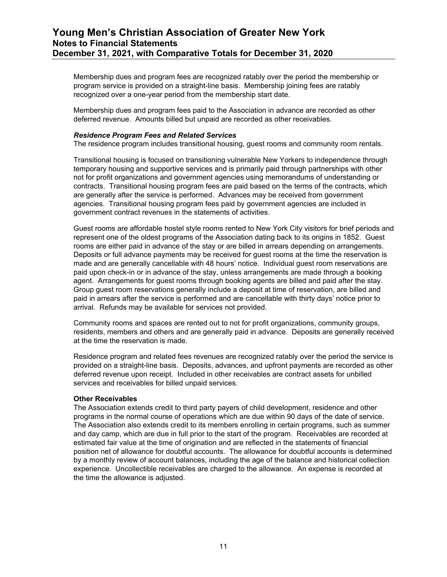Membership dues and program fees are recognized ratably over the period the membership or program service is provided on a straight-line basis. Membership joining fees are ratably recognized over a one-year period from the membership start date.

Membership dues and program fees paid to the Association in advance are recorded as other deferred revenue. Amounts billed but unpaid are recorded as other receivables.

#### *Residence Program Fees and Related Services*

The residence program includes transitional housing, guest rooms and community room rentals.

Transitional housing is focused on transitioning vulnerable New Yorkers to independence through temporary housing and supportive services and is primarily paid through partnerships with other not for profit organizations and government agencies using memorandums of understanding or contracts. Transitional housing program fees are paid based on the terms of the contracts, which are generally after the service is performed. Advances may be received from government agencies. Transitional housing program fees paid by government agencies are included in government contract revenues in the statements of activities.

Guest rooms are affordable hostel style rooms rented to New York City visitors for brief periods and represent one of the oldest programs of the Association dating back to its origins in 1852. Guest rooms are either paid in advance of the stay or are billed in arrears depending on arrangements. Deposits or full advance payments may be received for guest rooms at the time the reservation is made and are generally cancellable with 48 hours' notice. Individual guest room reservations are paid upon check-in or in advance of the stay, unless arrangements are made through a booking agent. Arrangements for guest rooms through booking agents are billed and paid after the stay. Group guest room reservations generally include a deposit at time of reservation, are billed and paid in arrears after the service is performed and are cancellable with thirty days' notice prior to arrival. Refunds may be available for services not provided.

Community rooms and spaces are rented out to not for profit organizations, community groups, residents, members and others and are generally paid in advance. Deposits are generally received at the time the reservation is made.

Residence program and related fees revenues are recognized ratably over the period the service is provided on a straight-line basis. Deposits, advances, and upfront payments are recorded as other deferred revenue upon receipt. Included in other receivables are contract assets for unbilled services and receivables for billed unpaid services.

#### **Other Receivables**

The Association extends credit to third party payers of child development, residence and other programs in the normal course of operations which are due within 90 days of the date of service. The Association also extends credit to its members enrolling in certain programs, such as summer and day camp, which are due in full prior to the start of the program. Receivables are recorded at estimated fair value at the time of origination and are reflected in the statements of financial position net of allowance for doubtful accounts. The allowance for doubtful accounts is determined by a monthly review of account balances, including the age of the balance and historical collection experience. Uncollectible receivables are charged to the allowance. An expense is recorded at the time the allowance is adjusted.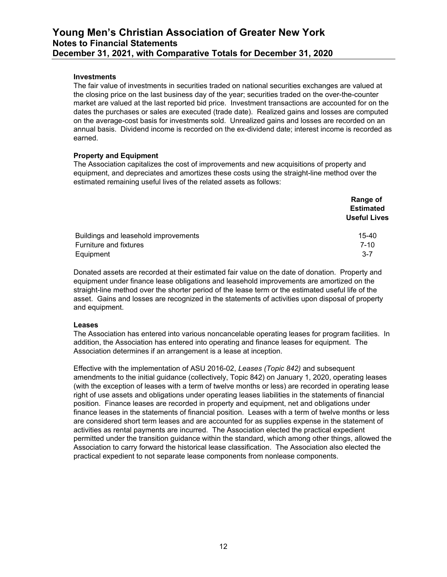#### **Investments**

The fair value of investments in securities traded on national securities exchanges are valued at the closing price on the last business day of the year; securities traded on the over-the-counter market are valued at the last reported bid price. Investment transactions are accounted for on the dates the purchases or sales are executed (trade date). Realized gains and losses are computed on the average-cost basis for investments sold. Unrealized gains and losses are recorded on an annual basis. Dividend income is recorded on the ex-dividend date; interest income is recorded as earned.

#### **Property and Equipment**

The Association capitalizes the cost of improvements and new acquisitions of property and equipment, and depreciates and amortizes these costs using the straight-line method over the estimated remaining useful lives of the related assets as follows:

|                                      | Range of            |
|--------------------------------------|---------------------|
|                                      | <b>Estimated</b>    |
|                                      | <b>Useful Lives</b> |
| Buildings and leasehold improvements | $15 - 40$           |
| Furniture and fixtures               | $7 - 10$            |
| Equipment                            | $3 - 7$             |

Donated assets are recorded at their estimated fair value on the date of donation. Property and equipment under finance lease obligations and leasehold improvements are amortized on the straight-line method over the shorter period of the lease term or the estimated useful life of the asset. Gains and losses are recognized in the statements of activities upon disposal of property and equipment.

#### **Leases**

The Association has entered into various noncancelable operating leases for program facilities. In addition, the Association has entered into operating and finance leases for equipment. The Association determines if an arrangement is a lease at inception.

Effective with the implementation of ASU 2016-02, *Leases (Topic 842)* and subsequent amendments to the initial guidance (collectively, Topic 842) on January 1, 2020, operating leases (with the exception of leases with a term of twelve months or less) are recorded in operating lease right of use assets and obligations under operating leases liabilities in the statements of financial position. Finance leases are recorded in property and equipment, net and obligations under finance leases in the statements of financial position. Leases with a term of twelve months or less are considered short term leases and are accounted for as supplies expense in the statement of activities as rental payments are incurred. The Association elected the practical expedient permitted under the transition guidance within the standard, which among other things, allowed the Association to carry forward the historical lease classification. The Association also elected the practical expedient to not separate lease components from nonlease components.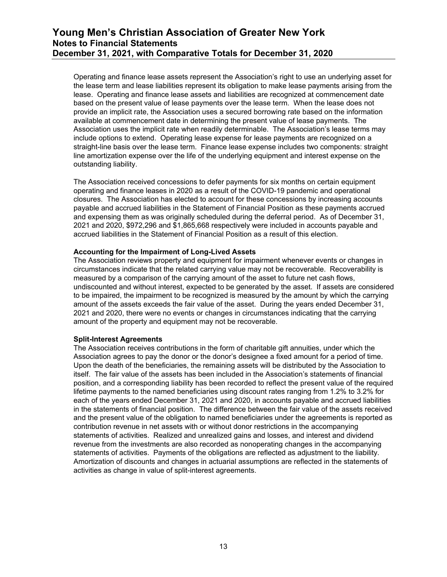Operating and finance lease assets represent the Association's right to use an underlying asset for the lease term and lease liabilities represent its obligation to make lease payments arising from the lease. Operating and finance lease assets and liabilities are recognized at commencement date based on the present value of lease payments over the lease term. When the lease does not provide an implicit rate, the Association uses a secured borrowing rate based on the information available at commencement date in determining the present value of lease payments. The Association uses the implicit rate when readily determinable. The Association's lease terms may include options to extend. Operating lease expense for lease payments are recognized on a straight-line basis over the lease term. Finance lease expense includes two components: straight line amortization expense over the life of the underlying equipment and interest expense on the outstanding liability.

The Association received concessions to defer payments for six months on certain equipment operating and finance leases in 2020 as a result of the COVID-19 pandemic and operational closures. The Association has elected to account for these concessions by increasing accounts payable and accrued liabilities in the Statement of Financial Position as these payments accrued and expensing them as was originally scheduled during the deferral period. As of December 31, 2021 and 2020, \$972,296 and \$1,865,668 respectively were included in accounts payable and accrued liabilities in the Statement of Financial Position as a result of this election.

#### **Accounting for the Impairment of Long-Lived Assets**

The Association reviews property and equipment for impairment whenever events or changes in circumstances indicate that the related carrying value may not be recoverable. Recoverability is measured by a comparison of the carrying amount of the asset to future net cash flows, undiscounted and without interest, expected to be generated by the asset. If assets are considered to be impaired, the impairment to be recognized is measured by the amount by which the carrying amount of the assets exceeds the fair value of the asset. During the years ended December 31, 2021 and 2020, there were no events or changes in circumstances indicating that the carrying amount of the property and equipment may not be recoverable.

#### **Split-Interest Agreements**

The Association receives contributions in the form of charitable gift annuities, under which the Association agrees to pay the donor or the donor's designee a fixed amount for a period of time. Upon the death of the beneficiaries, the remaining assets will be distributed by the Association to itself. The fair value of the assets has been included in the Association's statements of financial position, and a corresponding liability has been recorded to reflect the present value of the required lifetime payments to the named beneficiaries using discount rates ranging from 1.2% to 3.2% for each of the years ended December 31, 2021 and 2020, in accounts payable and accrued liabilities in the statements of financial position. The difference between the fair value of the assets received and the present value of the obligation to named beneficiaries under the agreements is reported as contribution revenue in net assets with or without donor restrictions in the accompanying statements of activities. Realized and unrealized gains and losses, and interest and dividend revenue from the investments are also recorded as nonoperating changes in the accompanying statements of activities. Payments of the obligations are reflected as adjustment to the liability. Amortization of discounts and changes in actuarial assumptions are reflected in the statements of activities as change in value of split-interest agreements.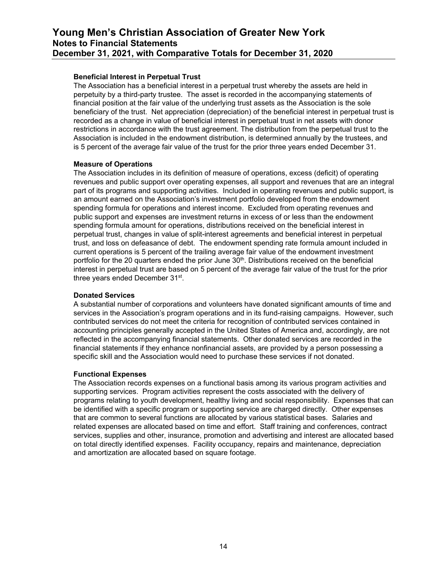#### **Beneficial Interest in Perpetual Trust**

The Association has a beneficial interest in a perpetual trust whereby the assets are held in perpetuity by a third-party trustee. The asset is recorded in the accompanying statements of financial position at the fair value of the underlying trust assets as the Association is the sole beneficiary of the trust. Net appreciation (depreciation) of the beneficial interest in perpetual trust is recorded as a change in value of beneficial interest in perpetual trust in net assets with donor restrictions in accordance with the trust agreement. The distribution from the perpetual trust to the Association is included in the endowment distribution, is determined annually by the trustees, and is 5 percent of the average fair value of the trust for the prior three years ended December 31.

#### **Measure of Operations**

The Association includes in its definition of measure of operations, excess (deficit) of operating revenues and public support over operating expenses, all support and revenues that are an integral part of its programs and supporting activities. Included in operating revenues and public support, is an amount earned on the Association's investment portfolio developed from the endowment spending formula for operations and interest income. Excluded from operating revenues and public support and expenses are investment returns in excess of or less than the endowment spending formula amount for operations, distributions received on the beneficial interest in perpetual trust, changes in value of split-interest agreements and beneficial interest in perpetual trust, and loss on defeasance of debt. The endowment spending rate formula amount included in current operations is 5 percent of the trailing average fair value of the endowment investment portfolio for the 20 quarters ended the prior June 30<sup>th</sup>. Distributions received on the beneficial interest in perpetual trust are based on 5 percent of the average fair value of the trust for the prior three years ended December 31st.

#### **Donated Services**

A substantial number of corporations and volunteers have donated significant amounts of time and services in the Association's program operations and in its fund-raising campaigns. However, such contributed services do not meet the criteria for recognition of contributed services contained in accounting principles generally accepted in the United States of America and, accordingly, are not reflected in the accompanying financial statements. Other donated services are recorded in the financial statements if they enhance nonfinancial assets, are provided by a person possessing a specific skill and the Association would need to purchase these services if not donated.

#### **Functional Expenses**

The Association records expenses on a functional basis among its various program activities and supporting services. Program activities represent the costs associated with the delivery of programs relating to youth development, healthy living and social responsibility. Expenses that can be identified with a specific program or supporting service are charged directly. Other expenses that are common to several functions are allocated by various statistical bases. Salaries and related expenses are allocated based on time and effort. Staff training and conferences, contract services, supplies and other, insurance, promotion and advertising and interest are allocated based on total directly identified expenses. Facility occupancy, repairs and maintenance, depreciation and amortization are allocated based on square footage.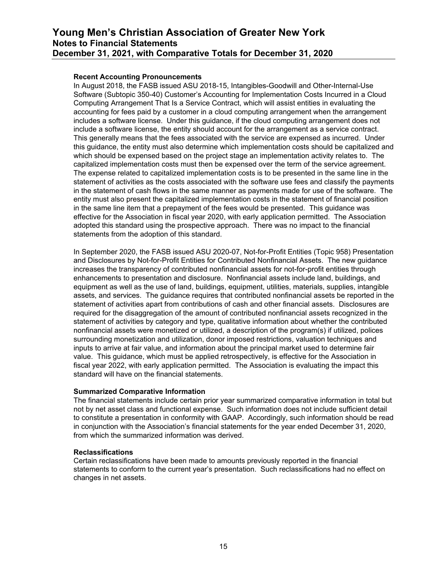#### **Recent Accounting Pronouncements**

In August 2018, the FASB issued ASU 2018-15, Intangibles-Goodwill and Other-Internal-Use Software (Subtopic 350-40) Customer's Accounting for Implementation Costs Incurred in a Cloud Computing Arrangement That Is a Service Contract, which will assist entities in evaluating the accounting for fees paid by a customer in a cloud computing arrangement when the arrangement includes a software license. Under this guidance, if the cloud computing arrangement does not include a software license, the entity should account for the arrangement as a service contract. This generally means that the fees associated with the service are expensed as incurred. Under this guidance, the entity must also determine which implementation costs should be capitalized and which should be expensed based on the project stage an implementation activity relates to. The capitalized implementation costs must then be expensed over the term of the service agreement. The expense related to capitalized implementation costs is to be presented in the same line in the statement of activities as the costs associated with the software use fees and classify the payments in the statement of cash flows in the same manner as payments made for use of the software. The entity must also present the capitalized implementation costs in the statement of financial position in the same line item that a prepayment of the fees would be presented. This guidance was effective for the Association in fiscal year 2020, with early application permitted. The Association adopted this standard using the prospective approach. There was no impact to the financial statements from the adoption of this standard.

In September 2020, the FASB issued ASU 2020-07, Not-for-Profit Entities (Topic 958) Presentation and Disclosures by Not-for-Profit Entities for Contributed Nonfinancial Assets. The new guidance increases the transparency of contributed nonfinancial assets for not-for-profit entities through enhancements to presentation and disclosure. Nonfinancial assets include land, buildings, and equipment as well as the use of land, buildings, equipment, utilities, materials, supplies, intangible assets, and services. The guidance requires that contributed nonfinancial assets be reported in the statement of activities apart from contributions of cash and other financial assets. Disclosures are required for the disaggregation of the amount of contributed nonfinancial assets recognized in the statement of activities by category and type, qualitative information about whether the contributed nonfinancial assets were monetized or utilized, a description of the program(s) if utilized, polices surrounding monetization and utilization, donor imposed restrictions, valuation techniques and inputs to arrive at fair value, and information about the principal market used to determine fair value. This guidance, which must be applied retrospectively, is effective for the Association in fiscal year 2022, with early application permitted. The Association is evaluating the impact this standard will have on the financial statements.

#### **Summarized Comparative Information**

The financial statements include certain prior year summarized comparative information in total but not by net asset class and functional expense. Such information does not include sufficient detail to constitute a presentation in conformity with GAAP. Accordingly, such information should be read in conjunction with the Association's financial statements for the year ended December 31, 2020, from which the summarized information was derived.

#### **Reclassifications**

Certain reclassifications have been made to amounts previously reported in the financial statements to conform to the current year's presentation. Such reclassifications had no effect on changes in net assets.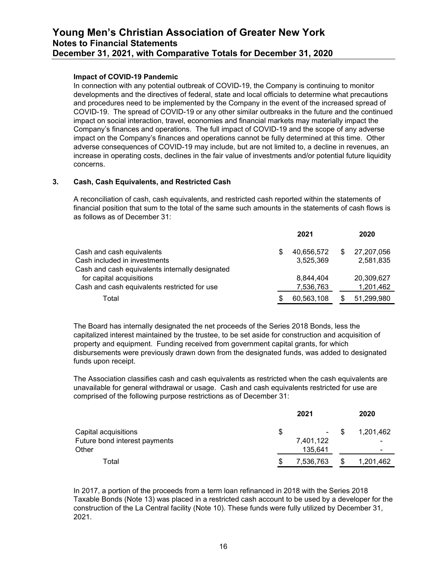#### **Impact of COVID-19 Pandemic**

In connection with any potential outbreak of COVID-19, the Company is continuing to monitor developments and the directives of federal, state and local officials to determine what precautions and procedures need to be implemented by the Company in the event of the increased spread of COVID-19. The spread of COVID-19 or any other similar outbreaks in the future and the continued impact on social interaction, travel, economies and financial markets may materially impact the Company's finances and operations. The full impact of COVID-19 and the scope of any adverse impact on the Company's finances and operations cannot be fully determined at this time. Other adverse consequences of COVID-19 may include, but are not limited to, a decline in revenues, an increase in operating costs, declines in the fair value of investments and/or potential future liquidity concerns.

#### **3. Cash, Cash Equivalents, and Restricted Cash**

A reconciliation of cash, cash equivalents, and restricted cash reported within the statements of financial position that sum to the total of the same such amounts in the statements of cash flows is as follows as of December 31:

|                                                                             |    | 2021                   | 2020                    |
|-----------------------------------------------------------------------------|----|------------------------|-------------------------|
| Cash and cash equivalents                                                   | \$ | 40,656,572             | 27,207,056              |
| Cash included in investments                                                |    | 3.525.369              | 2,581,835               |
| Cash and cash equivalents internally designated<br>for capital acquisitions |    |                        |                         |
| Cash and cash equivalents restricted for use                                |    | 8,844,404<br>7,536,763 | 20,309,627<br>1,201,462 |
| Total                                                                       | S  | 60,563,108             | 51,299,980              |

The Board has internally designated the net proceeds of the Series 2018 Bonds, less the capitalized interest maintained by the trustee, to be set aside for construction and acquisition of property and equipment. Funding received from government capital grants, for which disbursements were previously drawn down from the designated funds, was added to designated funds upon receipt.

The Association classifies cash and cash equivalents as restricted when the cash equivalents are unavailable for general withdrawal or usage. Cash and cash equivalents restricted for use are comprised of the following purpose restrictions as of December 31:

|                               |    | 2021            |      | 2020      |
|-------------------------------|----|-----------------|------|-----------|
| Capital acquisitions          | \$ | $\sim$ 10 $\pm$ | - \$ | 1.201.462 |
| Future bond interest payments |    | 7,401,122       |      | -         |
| Other                         |    | 135,641         |      | -         |
| Total                         | S  | 7,536,763       | S    | 1,201,462 |

In 2017, a portion of the proceeds from a term loan refinanced in 2018 with the Series 2018 Taxable Bonds (Note 13) was placed in a restricted cash account to be used by a developer for the construction of the La Central facility (Note 10). These funds were fully utilized by December 31, 2021.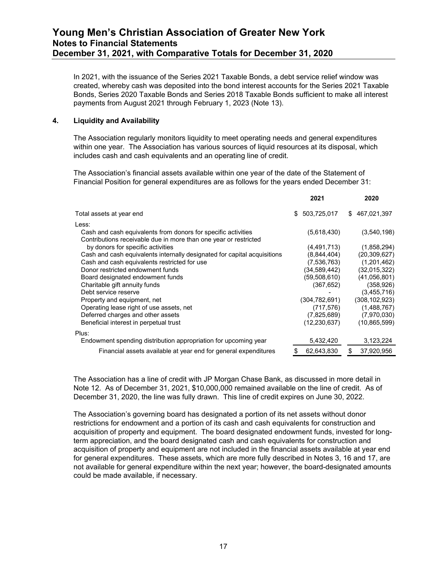In 2021, with the issuance of the Series 2021 Taxable Bonds, a debt service relief window was created, whereby cash was deposited into the bond interest accounts for the Series 2021 Taxable Bonds, Series 2020 Taxable Bonds and Series 2018 Taxable Bonds sufficient to make all interest payments from August 2021 through February 1, 2023 (Note 13).

#### **4. Liquidity and Availability**

The Association regularly monitors liquidity to meet operating needs and general expenditures within one year. The Association has various sources of liquid resources at its disposal, which includes cash and cash equivalents and an operating line of credit.

The Association's financial assets available within one year of the date of the Statement of Financial Position for general expenditures are as follows for the years ended December 31:

|                                                                                                                                   | 2021           | 2020             |
|-----------------------------------------------------------------------------------------------------------------------------------|----------------|------------------|
| Total assets at year end                                                                                                          | \$ 503,725,017 | \$467,021,397    |
| Less:                                                                                                                             |                |                  |
| Cash and cash equivalents from donors for specific activities<br>Contributions receivable due in more than one year or restricted | (5,618,430)    | (3,540,198)      |
| by donors for specific activities                                                                                                 | (4, 491, 713)  | (1,858,294)      |
| Cash and cash equivalents internally designated for capital acquisitions                                                          | (8,844,404)    | (20, 309, 627)   |
| Cash and cash equivalents restricted for use                                                                                      | (7,536,763)    | (1,201,462)      |
| Donor restricted endowment funds                                                                                                  | (34,589,442)   | (32,015,322)     |
| Board designated endowment funds                                                                                                  | (59,508,610)   | (41,056,801)     |
| Charitable gift annuity funds                                                                                                     | (367, 652)     | (358, 926)       |
| Debt service reserve                                                                                                              |                | (3,455,716)      |
| Property and equipment, net                                                                                                       | (304,782,691)  | (308, 102, 923)  |
| Operating lease right of use assets, net                                                                                          | (717, 576)     | (1,488,767)      |
| Deferred charges and other assets                                                                                                 | (7,825,689)    | (7,970,030)      |
| Beneficial interest in perpetual trust                                                                                            | (12,230,637)   | (10,865,599)     |
| Plus:                                                                                                                             |                |                  |
| Endowment spending distribution appropriation for upcoming year                                                                   | 5,432,420      | 3,123,224        |
| Financial assets available at year end for general expenditures                                                                   | 62,643,830     | \$<br>37,920,956 |
|                                                                                                                                   |                |                  |

The Association has a line of credit with JP Morgan Chase Bank, as discussed in more detail in Note 12. As of December 31, 2021, \$10,000,000 remained available on the line of credit. As of December 31, 2020, the line was fully drawn. This line of credit expires on June 30, 2022.

The Association's governing board has designated a portion of its net assets without donor restrictions for endowment and a portion of its cash and cash equivalents for construction and acquisition of property and equipment. The board designated endowment funds, invested for longterm appreciation, and the board designated cash and cash equivalents for construction and acquisition of property and equipment are not included in the financial assets available at year end for general expenditures. These assets, which are more fully described in Notes 3, 16 and 17, are not available for general expenditure within the next year; however, the board-designated amounts could be made available, if necessary.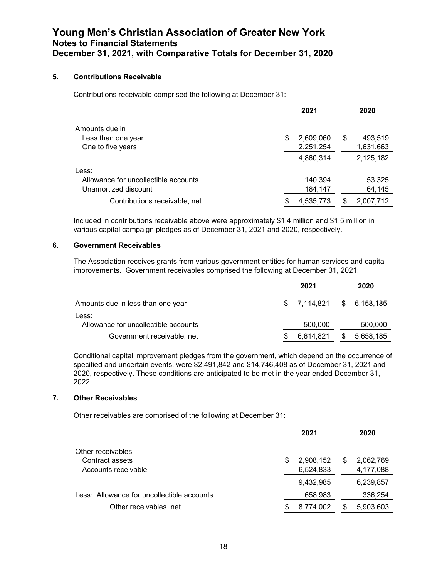#### **5. Contributions Receivable**

Contributions receivable comprised the following at December 31:

|                                      |    | 2021      | 2020          |
|--------------------------------------|----|-----------|---------------|
| Amounts due in                       |    |           |               |
| Less than one year                   | S  | 2,609,060 | \$<br>493,519 |
| One to five years                    |    | 2,251,254 | 1,631,663     |
|                                      |    | 4,860,314 | 2,125,182     |
| Less:                                |    |           |               |
| Allowance for uncollectible accounts |    | 140,394   | 53,325        |
| Unamortized discount                 |    | 184,147   | 64,145        |
| Contributions receivable, net        | \$ | 4,535,773 | 2,007,712     |

Included in contributions receivable above were approximately \$1.4 million and \$1.5 million in various capital campaign pledges as of December 31, 2021 and 2020, respectively.

#### **6. Government Receivables**

The Association receives grants from various government entities for human services and capital improvements. Government receivables comprised the following at December 31, 2021:

|                                               | 2021 |                           | 2020      |
|-----------------------------------------------|------|---------------------------|-----------|
| Amounts due in less than one year             |      | $$7,114,821$ $$6,158,185$ |           |
| Less:<br>Allowance for uncollectible accounts |      | 500,000                   | 500,000   |
| Government receivable, net                    |      | 6.614.821                 | 5,658,185 |

Conditional capital improvement pledges from the government, which depend on the occurrence of specified and uncertain events, were \$2,491,842 and \$14,746,408 as of December 31, 2021 and 2020, respectively. These conditions are anticipated to be met in the year ended December 31, 2022.

#### **7. Other Receivables**

Other receivables are comprised of the following at December 31:

|                                            |   | 2021      |   | 2020      |
|--------------------------------------------|---|-----------|---|-----------|
| Other receivables                          |   |           |   |           |
| Contract assets                            | S | 2,908,152 | S | 2,062,769 |
| Accounts receivable                        |   | 6,524,833 |   | 4,177,088 |
|                                            |   | 9,432,985 |   | 6,239,857 |
| Less: Allowance for uncollectible accounts |   | 658,983   |   | 336,254   |
| Other receivables, net                     | S | 8,774,002 |   | 5,903,603 |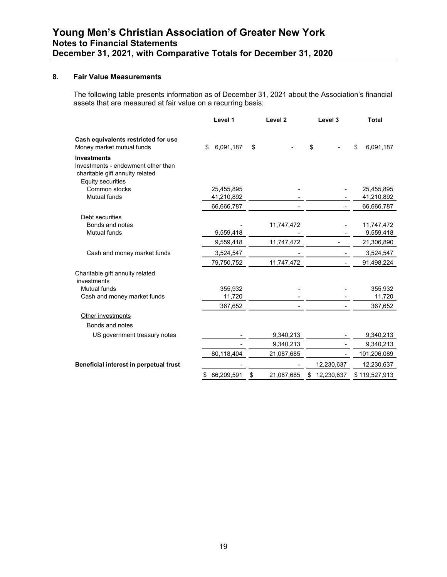#### **8. Fair Value Measurements**

The following table presents information as of December 31, 2021 about the Association's financial assets that are measured at fair value on a recurring basis:

|                                                                                                                         | Level 1          | Level <sub>2</sub> | Level 3         | <b>Total</b>  |
|-------------------------------------------------------------------------------------------------------------------------|------------------|--------------------|-----------------|---------------|
| Cash equivalents restricted for use                                                                                     | \$               | \$                 |                 | \$            |
| Money market mutual funds                                                                                               | 6,091,187        |                    | \$              | 6,091,187     |
| <b>Investments</b><br>Investments - endowment other than<br>charitable gift annuity related<br><b>Equity securities</b> |                  |                    |                 |               |
| Common stocks                                                                                                           | 25,455,895       |                    |                 | 25,455,895    |
| Mutual funds                                                                                                            | 41,210,892       |                    |                 | 41,210,892    |
|                                                                                                                         | 66,666,787       |                    |                 | 66,666,787    |
| Debt securities                                                                                                         |                  |                    |                 |               |
| Bonds and notes                                                                                                         |                  | 11,747,472         |                 | 11,747,472    |
| <b>Mutual funds</b>                                                                                                     | 9,559,418        |                    |                 | 9,559,418     |
|                                                                                                                         | 9,559,418        | 11,747,472         |                 | 21,306,890    |
| Cash and money market funds                                                                                             | 3,524,547        |                    |                 | 3,524,547     |
|                                                                                                                         | 79,750,752       | 11,747,472         |                 | 91,498,224    |
| Charitable gift annuity related<br>investments                                                                          |                  |                    |                 |               |
| <b>Mutual funds</b>                                                                                                     | 355,932          |                    |                 | 355,932       |
| Cash and money market funds                                                                                             | 11,720           |                    |                 | 11,720        |
|                                                                                                                         | 367,652          |                    |                 | 367,652       |
| Other investments                                                                                                       |                  |                    |                 |               |
| Bonds and notes                                                                                                         |                  |                    |                 |               |
| US government treasury notes                                                                                            |                  | 9,340,213          |                 | 9,340,213     |
|                                                                                                                         |                  | 9,340,213          |                 | 9,340,213     |
|                                                                                                                         | 80,118,404       | 21,087,685         |                 | 101,206,089   |
| Beneficial interest in perpetual trust                                                                                  |                  |                    | 12,230,637      | 12,230,637    |
|                                                                                                                         | 86,209,591<br>\$ | \$<br>21,087,685   | 12,230,637<br>S | \$119,527,913 |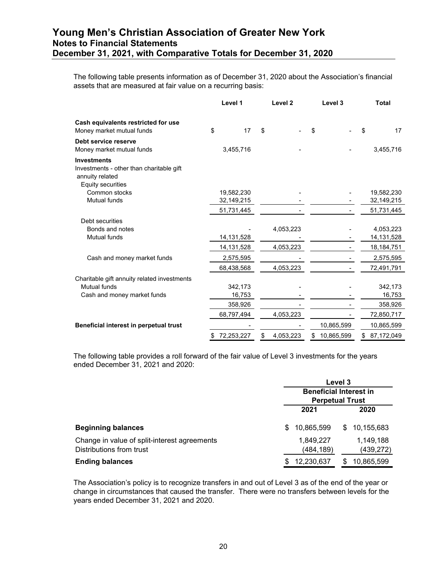The following table presents information as of December 31, 2020 about the Association's financial assets that are measured at fair value on a recurring basis:

|                                                                                                               | Level 1          | Level <sub>2</sub> | Level 3          | <b>Total</b>     |
|---------------------------------------------------------------------------------------------------------------|------------------|--------------------|------------------|------------------|
| Cash equivalents restricted for use<br>Money market mutual funds                                              | \$<br>17         | \$                 | \$               | \$<br>17         |
| Debt service reserve<br>Money market mutual funds                                                             | 3,455,716        |                    |                  | 3,455,716        |
| <b>Investments</b><br>Investments - other than charitable gift<br>annuity related<br><b>Equity securities</b> |                  |                    |                  |                  |
| Common stocks                                                                                                 | 19,582,230       |                    |                  | 19,582,230       |
| <b>Mutual funds</b>                                                                                           | 32,149,215       |                    |                  | 32,149,215       |
|                                                                                                               | 51,731,445       |                    |                  | 51,731,445       |
| Debt securities                                                                                               |                  |                    |                  |                  |
| Bonds and notes                                                                                               |                  | 4,053,223          |                  | 4,053,223        |
| <b>Mutual funds</b>                                                                                           | 14,131,528       |                    |                  | 14, 131, 528     |
|                                                                                                               | 14,131,528       | 4,053,223          |                  | 18, 184, 751     |
| Cash and money market funds                                                                                   | 2,575,595        |                    |                  | 2,575,595        |
|                                                                                                               | 68,438,568       | 4,053,223          |                  | 72,491,791       |
| Charitable gift annuity related investments                                                                   |                  |                    |                  |                  |
| Mutual funds                                                                                                  | 342,173          |                    |                  | 342,173          |
| Cash and money market funds                                                                                   | 16,753           |                    |                  | 16,753           |
|                                                                                                               | 358,926          |                    |                  | 358,926          |
|                                                                                                               | 68,797,494       | 4,053,223          |                  | 72,850,717       |
| Beneficial interest in perpetual trust                                                                        |                  |                    | 10,865,599       | 10,865,599       |
|                                                                                                               | 72,253,227<br>\$ | \$<br>4,053,223    | \$<br>10,865,599 | \$<br>87,172,049 |

The following table provides a roll forward of the fair value of Level 3 investments for the years ended December 31, 2021 and 2020:

|                                              |   | Level 3                       |     |            |  |  |
|----------------------------------------------|---|-------------------------------|-----|------------|--|--|
|                                              |   | <b>Beneficial Interest in</b> |     |            |  |  |
|                                              |   | <b>Perpetual Trust</b>        |     |            |  |  |
|                                              |   | 2021                          |     | 2020       |  |  |
| <b>Beginning balances</b>                    | S | 10,865,599                    | SS. | 10,155,683 |  |  |
| Change in value of split-interest agreements |   | 1,849,227                     |     | 1,149,188  |  |  |
| Distributions from trust                     |   | (484, 189)                    |     | (439, 272) |  |  |
| <b>Ending balances</b>                       | S | 12,230,637                    | S   | 10,865,599 |  |  |

The Association's policy is to recognize transfers in and out of Level 3 as of the end of the year or change in circumstances that caused the transfer. There were no transfers between levels for the years ended December 31, 2021 and 2020.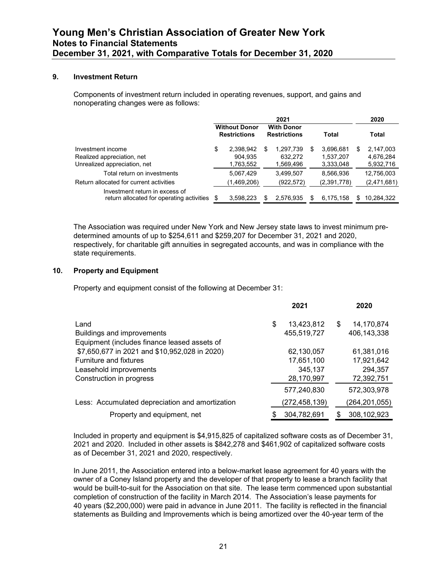#### **9. Investment Return**

Components of investment return included in operating revenues, support, and gains and nonoperating changes were as follows:

|                                                                                 | 2021                                        |                                   |   |                                          |       |                                     |   | 2020                                |
|---------------------------------------------------------------------------------|---------------------------------------------|-----------------------------------|---|------------------------------------------|-------|-------------------------------------|---|-------------------------------------|
|                                                                                 | <b>Without Donor</b><br><b>Restrictions</b> |                                   |   | <b>With Donor</b><br><b>Restrictions</b> | Total |                                     |   | Total                               |
| Investment income<br>Realized appreciation, net<br>Unrealized appreciation, net | \$                                          | 2,398,942<br>904,935<br>1,763,552 | S | 1,297,739<br>632,272<br>1,569,496        | S     | 3,696,681<br>1,537,207<br>3,333,048 | S | 2,147,003<br>4,676,284<br>5,932,716 |
| Total return on investments<br>Return allocated for current activities          |                                             | 5,067,429<br>(1,469,206)          |   | 3.499.507<br>(922,572)                   |       | 8.566.936<br>(2,391,778)            |   | 12,756,003<br>(2,471,681)           |
| Investment return in excess of<br>return allocated for operating activities     | £.                                          | 3,598,223                         | S | 2,576,935                                |       | 6,175,158                           | S | 10,284,322                          |

The Association was required under New York and New Jersey state laws to invest minimum predetermined amounts of up to \$254,611 and \$259,207 for December 31, 2021 and 2020, respectively, for charitable gift annuities in segregated accounts, and was in compliance with the state requirements.

#### **10. Property and Equipment**

Property and equipment consist of the following at December 31:

|                                                 | 2021             | 2020                 |
|-------------------------------------------------|------------------|----------------------|
| Land                                            | 13,423,812<br>\$ | 14,170,874<br>\$     |
| Buildings and improvements                      | 455,519,727      | 406,143,338          |
| Equipment (includes finance leased assets of    |                  |                      |
| \$7,650,677 in 2021 and \$10,952,028 in 2020)   | 62,130,057       | 61,381,016           |
| <b>Furniture and fixtures</b>                   | 17,651,100       | 17,921,642           |
| Leasehold improvements                          | 345,137          | 294,357              |
| Construction in progress                        | 28,170,997       | 72,392,751           |
|                                                 | 577,240,830      | 572,303,978          |
| Less: Accumulated depreciation and amortization | (272,458,139)    | (264,201,055)        |
| Property and equipment, net                     | 304,782,691      | 308, 102, 923<br>\$. |

Included in property and equipment is \$4,915,825 of capitalized software costs as of December 31, 2021 and 2020. Included in other assets is \$842,278 and \$461,902 of capitalized software costs as of December 31, 2021 and 2020, respectively.

In June 2011, the Association entered into a below-market lease agreement for 40 years with the owner of a Coney Island property and the developer of that property to lease a branch facility that would be built-to-suit for the Association on that site. The lease term commenced upon substantial completion of construction of the facility in March 2014. The Association's lease payments for 40 years (\$2,200,000) were paid in advance in June 2011. The facility is reflected in the financial statements as Building and Improvements which is being amortized over the 40-year term of the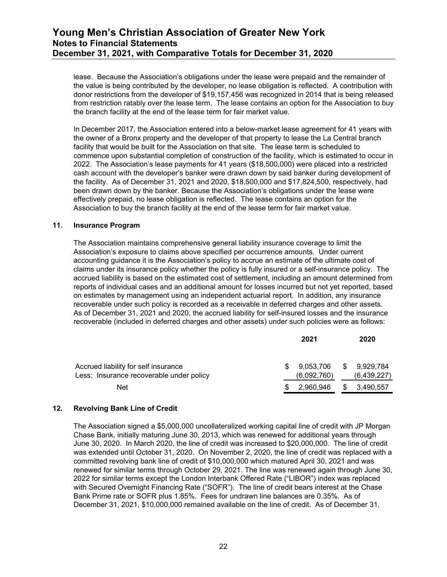lease. Because the Association's obligations under the lease were prepaid and the remainder of the value is being contributed by the developer, no lease obligation is reflected. A contribution with donor restrictions from the developer of \$19,157,456 was recognized in 2014 that is being released from restriction ratably over the lease term. The lease contains an option for the Association to buy the branch facility at the end of the lease term for fair market value.

In December 2017, the Association entered into a below-market lease agreement for 41 years with the owner of a Bronx property and the developer of that property to lease the La Central branch facility that would be built for the Association on that site. The lease term is scheduled to commence upon substantial completion of construction of the facility, which is estimated to occur in 2022. The Association's lease payments for 41 years (\$18,500,000) were placed into a restricted cash account with the developer's banker were drawn down by said banker during development of the facility. As of December 31, 2021 and 2020, \$18,500,000 and \$17,824,500, respectively, had been drawn down by the banker. Because the Association's obligations under the lease were effectively prepaid, no lease obligation is reflected. The lease contains an option for the Association to buy the branch facility at the end of the lease term for fair market value.

#### **11. Insurance Program**

The Association maintains comprehensive general liability insurance coverage to limit the Association's exposure to claims above specified per occurrence amounts. Under current accounting guidance it is the Association's policy to accrue an estimate of the ultimate cost of claims under its insurance policy whether the policy is fully insured or a self-insurance policy. The accrued liability is based on the estimated cost of settlement, including an amount determined from reports of individual cases and an additional amount for losses incurred but not yet reported, based on estimates by management using an independent actuarial report. In addition, any insurance recoverable under such policy is recorded as a receivable in deferred charges and other assets. As of December 31, 2021 and 2020, the accrued liability for self-insured losses and the insurance recoverable (included in deferred charges and other assets) under such policies were as follows:

|                                                                                  |     | 2021                                  |   | 2020        |
|----------------------------------------------------------------------------------|-----|---------------------------------------|---|-------------|
| Accrued liability for self insurance<br>Less: Insurance recoverable under policy | \$. | 9,053,706 \$ 9,929,784<br>(6,092,760) |   | (6,439,227) |
| <b>Net</b>                                                                       |     | 2.960.946                             | S | 3,490,557   |

#### **12. Revolving Bank Line of Credit**

The Association signed a \$5,000,000 uncollateralized working capital line of credit with JP Morgan Chase Bank, initially maturing June 30, 2013, which was renewed for additional years through June 30, 2020. In March 2020, the line of credit was increased to \$20,000,000. The line of credit was extended until October 31, 2020. On November 2, 2020, the line of credit was replaced with a committed revolving bank line of credit of \$10,000,000 which matured April 30, 2021 and was renewed for similar terms through October 29, 2021. The line was renewed again through June 30, 2022 for similar terms except the London Interbank Offered Rate ("LIBOR") index was replaced with Secured Overnight Financing Rate ("SOFR"). The line of credit bears interest at the Chase Bank Prime rate or SOFR plus 1.85%. Fees for undrawn line balances are 0.35%. As of December 31, 2021, \$10,000,000 remained available on the line of credit. As of December 31,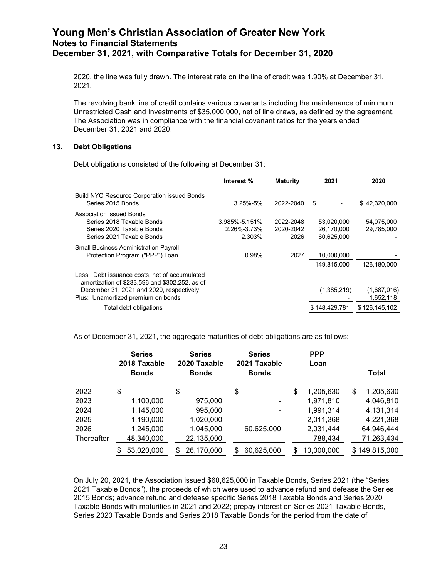2020, the line was fully drawn. The interest rate on the line of credit was 1.90% at December 31, 2021.

The revolving bank line of credit contains various covenants including the maintenance of minimum Unrestricted Cash and Investments of \$35,000,000, net of line draws, as defined by the agreement. The Association was in compliance with the financial covenant ratios for the years ended December 31, 2021 and 2020.

#### **13. Debt Obligations**

Debt obligations consisted of the following at December 31:

|                                                                                                                                                                                   | Interest %                                   | <b>Maturity</b>                | 2021                                   | 2020                     |
|-----------------------------------------------------------------------------------------------------------------------------------------------------------------------------------|----------------------------------------------|--------------------------------|----------------------------------------|--------------------------|
| <b>Build NYC Resource Corporation issued Bonds</b><br>Series 2015 Bonds                                                                                                           | $3.25\% - 5\%$                               | 2022-2040                      | S                                      | \$42,320,000             |
| Association issued Bonds<br>Series 2018 Taxable Bonds<br>Series 2020 Taxable Bonds<br>Series 2021 Taxable Bonds                                                                   | $3.985\% - 5.151\%$<br>2.26%-3.73%<br>2.303% | 2022-2048<br>2020-2042<br>2026 | 53.020.000<br>26,170,000<br>60.625.000 | 54,075,000<br>29,785,000 |
| <b>Small Business Administration Payroll</b><br>Protection Program ("PPP") Loan                                                                                                   | 0.98%                                        | 2027                           | 10,000,000<br>149.815.000              | 126.180.000              |
| Less: Debt issuance costs, net of accumulated<br>amortization of \$233,596 and \$302,252, as of<br>December 31, 2021 and 2020, respectively<br>Plus: Unamortized premium on bonds |                                              |                                | (1,385,219)                            | (1,687,016)<br>1,652,118 |
| Total debt obligations                                                                                                                                                            |                                              |                                | \$148,429.781                          | \$126,145,102            |
|                                                                                                                                                                                   |                                              |                                |                                        |                          |

As of December 31, 2021, the aggregate maturities of debt obligations are as follows:

|            | <b>Series</b><br>2018 Taxable<br><b>Bonds</b> |    | <b>Series</b><br>2020 Taxable<br><b>Bonds</b> | <b>Series</b><br>2021 Taxable<br><b>Bonds</b> | <b>PPP</b><br>Loan | <b>Total</b>    |
|------------|-----------------------------------------------|----|-----------------------------------------------|-----------------------------------------------|--------------------|-----------------|
| 2022       | \$                                            | \$ | $\overline{\phantom{0}}$                      | \$<br>$\blacksquare$                          | \$<br>1,205,630    | \$<br>1,205,630 |
| 2023       | 1,100,000                                     |    | 975,000                                       |                                               | 1,971,810          | 4,046,810       |
| 2024       | 1,145,000                                     |    | 995,000                                       | $\overline{\phantom{0}}$                      | 1,991,314          | 4,131,314       |
| 2025       | 1,190,000                                     |    | 1,020,000                                     |                                               | 2,011,368          | 4,221,368       |
| 2026       | 1,245,000                                     |    | 1,045,000                                     | 60,625,000                                    | 2,031,444          | 64,946,444      |
| Thereafter | 48,340,000                                    |    | 22,135,000                                    |                                               | 788,434            | 71,263,434      |
|            | \$<br>53,020,000                              | S  | 26,170,000                                    | \$<br>60,625,000                              | \$<br>10,000,000   | \$149,815,000   |

On July 20, 2021, the Association issued \$60,625,000 in Taxable Bonds, Series 2021 (the "Series 2021 Taxable Bonds"), the proceeds of which were used to advance refund and defease the Series 2015 Bonds; advance refund and defease specific Series 2018 Taxable Bonds and Series 2020 Taxable Bonds with maturities in 2021 and 2022; prepay interest on Series 2021 Taxable Bonds, Series 2020 Taxable Bonds and Series 2018 Taxable Bonds for the period from the date of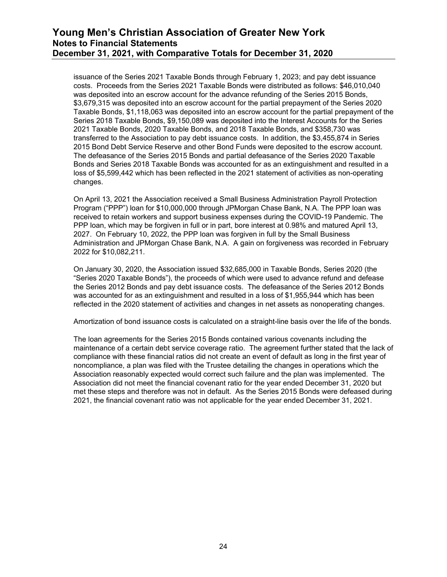issuance of the Series 2021 Taxable Bonds through February 1, 2023; and pay debt issuance costs. Proceeds from the Series 2021 Taxable Bonds were distributed as follows: \$46,010,040 was deposited into an escrow account for the advance refunding of the Series 2015 Bonds, \$3,679,315 was deposited into an escrow account for the partial prepayment of the Series 2020 Taxable Bonds, \$1,118,063 was deposited into an escrow account for the partial prepayment of the Series 2018 Taxable Bonds, \$9,150,089 was deposited into the Interest Accounts for the Series 2021 Taxable Bonds, 2020 Taxable Bonds, and 2018 Taxable Bonds, and \$358,730 was transferred to the Association to pay debt issuance costs. In addition, the \$3,455,874 in Series 2015 Bond Debt Service Reserve and other Bond Funds were deposited to the escrow account. The defeasance of the Series 2015 Bonds and partial defeasance of the Series 2020 Taxable Bonds and Series 2018 Taxable Bonds was accounted for as an extinguishment and resulted in a loss of \$5,599,442 which has been reflected in the 2021 statement of activities as non-operating changes.

On April 13, 2021 the Association received a Small Business Administration Payroll Protection Program ("PPP") loan for \$10,000,000 through JPMorgan Chase Bank, N.A. The PPP loan was received to retain workers and support business expenses during the COVID-19 Pandemic. The PPP loan, which may be forgiven in full or in part, bore interest at 0.98% and matured April 13, 2027. On February 10, 2022, the PPP loan was forgiven in full by the Small Business Administration and JPMorgan Chase Bank, N.A. A gain on forgiveness was recorded in February 2022 for \$10,082,211.

On January 30, 2020, the Association issued \$32,685,000 in Taxable Bonds, Series 2020 (the "Series 2020 Taxable Bonds"), the proceeds of which were used to advance refund and defease the Series 2012 Bonds and pay debt issuance costs. The defeasance of the Series 2012 Bonds was accounted for as an extinguishment and resulted in a loss of \$1,955,944 which has been reflected in the 2020 statement of activities and changes in net assets as nonoperating changes.

Amortization of bond issuance costs is calculated on a straight-line basis over the life of the bonds.

The loan agreements for the Series 2015 Bonds contained various covenants including the maintenance of a certain debt service coverage ratio. The agreement further stated that the lack of compliance with these financial ratios did not create an event of default as long in the first year of noncompliance, a plan was filed with the Trustee detailing the changes in operations which the Association reasonably expected would correct such failure and the plan was implemented. The Association did not meet the financial covenant ratio for the year ended December 31, 2020 but met these steps and therefore was not in default. As the Series 2015 Bonds were defeased during 2021, the financial covenant ratio was not applicable for the year ended December 31, 2021.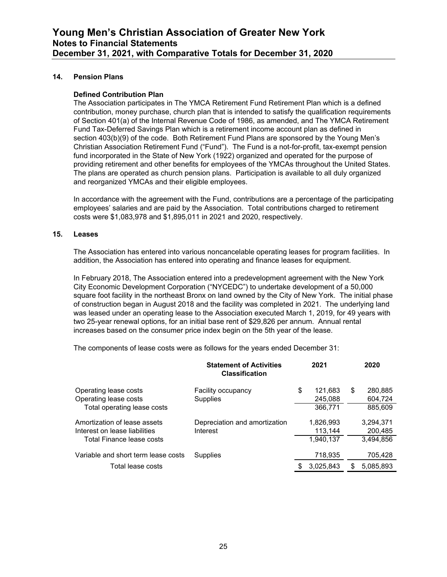#### **14. Pension Plans**

#### **Defined Contribution Plan**

The Association participates in The YMCA Retirement Fund Retirement Plan which is a defined contribution, money purchase, church plan that is intended to satisfy the qualification requirements of Section 401(a) of the Internal Revenue Code of 1986, as amended, and The YMCA Retirement Fund Tax-Deferred Savings Plan which is a retirement income account plan as defined in section 403(b)(9) of the code. Both Retirement Fund Plans are sponsored by the Young Men's Christian Association Retirement Fund ("Fund"). The Fund is a not-for-profit, tax-exempt pension fund incorporated in the State of New York (1922) organized and operated for the purpose of providing retirement and other benefits for employees of the YMCAs throughout the United States. The plans are operated as church pension plans. Participation is available to all duly organized and reorganized YMCAs and their eligible employees.

In accordance with the agreement with the Fund, contributions are a percentage of the participating employees' salaries and are paid by the Association. Total contributions charged to retirement costs were \$1,083,978 and \$1,895,011 in 2021 and 2020, respectively.

#### **15. Leases**

The Association has entered into various noncancelable operating leases for program facilities. In addition, the Association has entered into operating and finance leases for equipment.

In February 2018, The Association entered into a predevelopment agreement with the New York City Economic Development Corporation ("NYCEDC") to undertake development of a 50,000 square foot facility in the northeast Bronx on land owned by the City of New York. The initial phase of construction began in August 2018 and the facility was completed in 2021. The underlying land was leased under an operating lease to the Association executed March 1, 2019, for 49 years with two 25-year renewal options, for an initial base rent of \$29,826 per annum. Annual rental increases based on the consumer price index begin on the 5th year of the lease.

The components of lease costs were as follows for the years ended December 31:

|                                                | <b>Statement of Activities</b><br><b>Classification</b> | 2021                     |    | 2020               |
|------------------------------------------------|---------------------------------------------------------|--------------------------|----|--------------------|
| Operating lease costs<br>Operating lease costs | <b>Facility occupancy</b><br><b>Supplies</b>            | \$<br>121.683<br>245,088 | \$ | 280.885<br>604,724 |
| Total operating lease costs                    |                                                         | 366,771                  |    | 885.609            |
| Amortization of lease assets                   | Depreciation and amortization                           | 1,826,993                |    | 3,294,371          |
| Interest on lease liabilities                  | Interest                                                | 113,144                  |    | 200,485            |
| Total Finance lease costs                      |                                                         | 1,940,137                |    | 3,494,856          |
| Variable and short term lease costs            | Supplies                                                | 718,935                  |    | 705,428            |
| Total lease costs                              |                                                         | \$<br>3,025,843          | S  | 5,085,893          |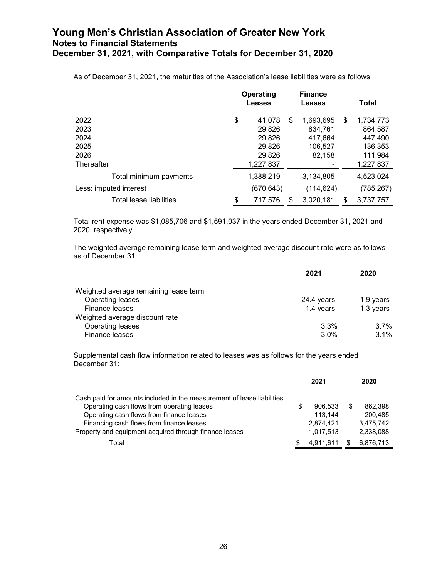As of December 31, 2021, the maturities of the Association's lease liabilities were as follows:

|                         | Operating<br>Leases |    | <b>Finance</b><br>Leases | Total           |
|-------------------------|---------------------|----|--------------------------|-----------------|
| 2022                    | \$<br>41,078        | \$ | 1,693,695                | \$<br>1,734,773 |
| 2023                    | 29,826              |    | 834,761                  | 864,587         |
| 2024                    | 29,826              |    | 417,664                  | 447,490         |
| 2025                    | 29,826              |    | 106,527                  | 136,353         |
| 2026                    | 29,826              |    | 82,158                   | 111,984         |
| Thereafter              | 1,227,837           |    |                          | 1,227,837       |
| Total minimum payments  | 1,388,219           |    | 3,134,805                | 4,523,024       |
| Less: imputed interest  | (670,643)           |    | (114,624)                | (785,267)       |
| Total lease liabilities | \$<br>717,576       | S  | 3,020,181                | \$<br>3,737,757 |

Total rent expense was \$1,085,706 and \$1,591,037 in the years ended December 31, 2021 and 2020, respectively.

The weighted average remaining lease term and weighted average discount rate were as follows as of December 31:

|                                       | 2021       | 2020      |
|---------------------------------------|------------|-----------|
| Weighted average remaining lease term |            |           |
| Operating leases                      | 24.4 years | 1.9 years |
| Finance leases                        | 1.4 years  | 1.3 years |
| Weighted average discount rate        |            |           |
| Operating leases                      | $3.3\%$    | 3.7%      |
| Finance leases                        | $3.0\%$    | 3.1%      |

Supplemental cash flow information related to leases was as follows for the years ended December 31:

|                                                                        |   | 2021      | 2020      |
|------------------------------------------------------------------------|---|-----------|-----------|
| Cash paid for amounts included in the measurement of lease liabilities |   |           |           |
| Operating cash flows from operating leases                             | S | 906.533   | 862.398   |
| Operating cash flows from finance leases                               |   | 113.144   | 200.485   |
| Financing cash flows from finance leases                               |   | 2,874,421 | 3,475,742 |
| Property and equipment acquired through finance leases                 |   | 1,017,513 | 2,338,088 |
| Total                                                                  | S | 4,911,611 | 6,876,713 |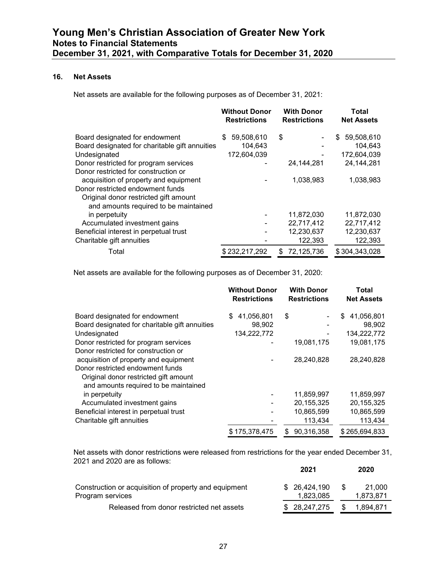#### **16. Net Assets**

Net assets are available for the following purposes as of December 31, 2021:

|                                                | <b>Without Donor</b><br><b>Restrictions</b> | <b>With Donor</b><br><b>Restrictions</b> | Total<br><b>Net Assets</b> |
|------------------------------------------------|---------------------------------------------|------------------------------------------|----------------------------|
| Board designated for endowment                 | 59,508,610<br>S.                            | \$                                       | 59,508,610<br>\$           |
| Board designated for charitable gift annuities | 104.643                                     |                                          | 104.643                    |
| Undesignated                                   | 172,604,039                                 |                                          | 172,604,039                |
| Donor restricted for program services          |                                             | 24, 144, 281                             | 24, 144, 281               |
| Donor restricted for construction or           |                                             |                                          |                            |
| acquisition of property and equipment          |                                             | 1,038,983                                | 1,038,983                  |
| Donor restricted endowment funds               |                                             |                                          |                            |
| Original donor restricted gift amount          |                                             |                                          |                            |
| and amounts required to be maintained          |                                             |                                          |                            |
| in perpetuity                                  |                                             | 11.872.030                               | 11,872,030                 |
| Accumulated investment gains                   |                                             | 22,717,412                               | 22,717,412                 |
| Beneficial interest in perpetual trust         |                                             | 12,230,637                               | 12,230,637                 |
| Charitable gift annuities                      |                                             | 122,393                                  | 122,393                    |
| Total                                          | \$232,217,292                               | 72,125,736<br>\$                         | \$304,343,028              |

Net assets are available for the following purposes as of December 31, 2020:

|                                                | <b>Without Donor</b><br><b>Restrictions</b> | <b>With Donor</b><br><b>Restrictions</b> | Total<br><b>Net Assets</b> |
|------------------------------------------------|---------------------------------------------|------------------------------------------|----------------------------|
| Board designated for endowment                 | \$<br>41,056,801                            | \$                                       | 41,056,801<br>S            |
| Board designated for charitable gift annuities | 98,902                                      |                                          | 98,902                     |
| Undesignated                                   | 134,222,772                                 |                                          | 134,222,772                |
| Donor restricted for program services          |                                             | 19,081,175                               | 19,081,175                 |
| Donor restricted for construction or           |                                             |                                          |                            |
| acquisition of property and equipment          |                                             | 28,240,828                               | 28,240,828                 |
| Donor restricted endowment funds               |                                             |                                          |                            |
| Original donor restricted gift amount          |                                             |                                          |                            |
| and amounts required to be maintained          |                                             |                                          |                            |
| in perpetuity                                  |                                             | 11,859,997                               | 11,859,997                 |
| Accumulated investment gains                   |                                             | 20,155,325                               | 20,155,325                 |
| Beneficial interest in perpetual trust         |                                             | 10,865,599                               | 10,865,599                 |
| Charitable gift annuities                      |                                             | 113,434                                  | 113,434                    |
|                                                | \$175.378.475                               | 90.316.358<br>S                          | \$265,694,833              |

Net assets with donor restrictions were released from restrictions for the year ended December 31, 2021 and 2020 are as follows: **2021 2020**

|                                                                           | ZUZ I                      | ZUZU                       |
|---------------------------------------------------------------------------|----------------------------|----------------------------|
| Construction or acquisition of property and equipment<br>Program services | \$ 26.424.190<br>1.823.085 | 21.000<br>-SS<br>1.873.871 |
| Released from donor restricted net assets                                 | \$ 28.247.275              | 1.894.871<br>\$.           |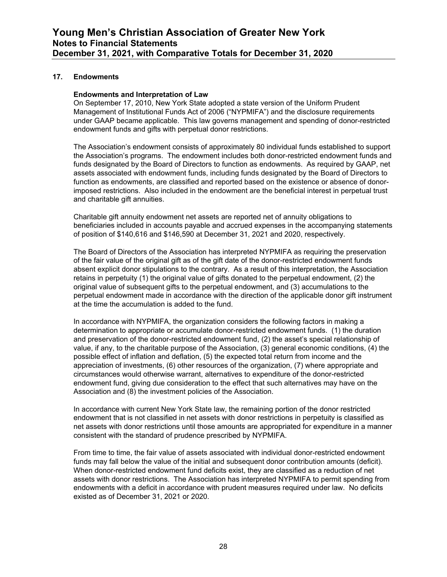#### **17. Endowments**

#### **Endowments and Interpretation of Law**

On September 17, 2010, New York State adopted a state version of the Uniform Prudent Management of Institutional Funds Act of 2006 ("NYPMIFA") and the disclosure requirements under GAAP became applicable. This law governs management and spending of donor-restricted endowment funds and gifts with perpetual donor restrictions.

The Association's endowment consists of approximately 80 individual funds established to support the Association's programs. The endowment includes both donor-restricted endowment funds and funds designated by the Board of Directors to function as endowments. As required by GAAP, net assets associated with endowment funds, including funds designated by the Board of Directors to function as endowments, are classified and reported based on the existence or absence of donorimposed restrictions. Also included in the endowment are the beneficial interest in perpetual trust and charitable gift annuities.

Charitable gift annuity endowment net assets are reported net of annuity obligations to beneficiaries included in accounts payable and accrued expenses in the accompanying statements of position of \$140,616 and \$146,590 at December 31, 2021 and 2020, respectively.

The Board of Directors of the Association has interpreted NYPMIFA as requiring the preservation of the fair value of the original gift as of the gift date of the donor-restricted endowment funds absent explicit donor stipulations to the contrary. As a result of this interpretation, the Association retains in perpetuity (1) the original value of gifts donated to the perpetual endowment, (2) the original value of subsequent gifts to the perpetual endowment, and (3) accumulations to the perpetual endowment made in accordance with the direction of the applicable donor gift instrument at the time the accumulation is added to the fund.

In accordance with NYPMIFA, the organization considers the following factors in making a determination to appropriate or accumulate donor-restricted endowment funds. (1) the duration and preservation of the donor-restricted endowment fund, (2) the asset's special relationship of value, if any, to the charitable purpose of the Association, (3) general economic conditions, (4) the possible effect of inflation and deflation, (5) the expected total return from income and the appreciation of investments, (6) other resources of the organization, (7) where appropriate and circumstances would otherwise warrant, alternatives to expenditure of the donor-restricted endowment fund, giving due consideration to the effect that such alternatives may have on the Association and (8) the investment policies of the Association.

In accordance with current New York State law, the remaining portion of the donor restricted endowment that is not classified in net assets with donor restrictions in perpetuity is classified as net assets with donor restrictions until those amounts are appropriated for expenditure in a manner consistent with the standard of prudence prescribed by NYPMIFA.

From time to time, the fair value of assets associated with individual donor-restricted endowment funds may fall below the value of the initial and subsequent donor contribution amounts (deficit). When donor-restricted endowment fund deficits exist, they are classified as a reduction of net assets with donor restrictions. The Association has interpreted NYPMIFA to permit spending from endowments with a deficit in accordance with prudent measures required under law. No deficits existed as of December 31, 2021 or 2020.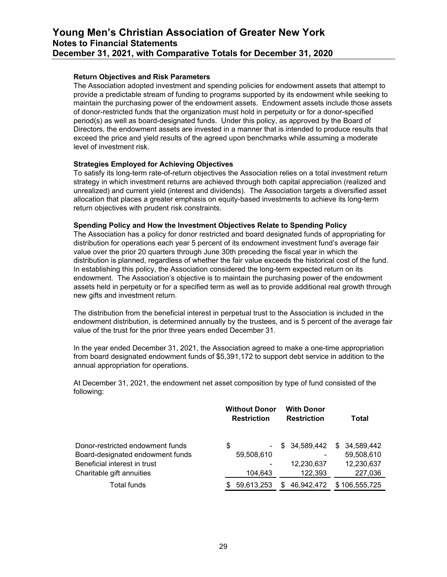#### **Return Objectives and Risk Parameters**

The Association adopted investment and spending policies for endowment assets that attempt to provide a predictable stream of funding to programs supported by its endowment while seeking to maintain the purchasing power of the endowment assets. Endowment assets include those assets of donor-restricted funds that the organization must hold in perpetuity or for a donor-specified period(s) as well as board-designated funds. Under this policy, as approved by the Board of Directors, the endowment assets are invested in a manner that is intended to produce results that exceed the price and yield results of the agreed upon benchmarks while assuming a moderate level of investment risk.

#### **Strategies Employed for Achieving Objectives**

To satisfy its long-term rate-of-return objectives the Association relies on a total investment return strategy in which investment returns are achieved through both capital appreciation (realized and unrealized) and current yield (interest and dividends). The Association targets a diversified asset allocation that places a greater emphasis on equity-based investments to achieve its long-term return objectives with prudent risk constraints.

#### **Spending Policy and How the Investment Objectives Relate to Spending Policy**

The Association has a policy for donor restricted and board designated funds of appropriating for distribution for operations each year 5 percent of its endowment investment fund's average fair value over the prior 20 quarters through June 30th preceding the fiscal year in which the distribution is planned, regardless of whether the fair value exceeds the historical cost of the fund. In establishing this policy, the Association considered the long-term expected return on its endowment. The Association's objective is to maintain the purchasing power of the endowment assets held in perpetuity or for a specified term as well as to provide additional real growth through new gifts and investment return.

The distribution from the beneficial interest in perpetual trust to the Association is included in the endowment distribution, is determined annually by the trustees, and is 5 percent of the average fair value of the trust for the prior three years ended December 31.

In the year ended December 31, 2021, the Association agreed to make a one-time appropriation from board designated endowment funds of \$5,391,172 to support debt service in addition to the annual appropriation for operations.

At December 31, 2021, the endowment net asset composition by type of fund consisted of the following:

|                                                                                                      | <b>Without Donor</b><br><b>Restriction</b> | <b>With Donor</b><br><b>Restriction</b> | Total                                        |
|------------------------------------------------------------------------------------------------------|--------------------------------------------|-----------------------------------------|----------------------------------------------|
| Donor-restricted endowment funds<br>Board-designated endowment funds<br>Beneficial interest in trust | \$<br>$\sim$<br>59,508,610                 | \$ 34,589,442<br>٠<br>12,230,637        | 34,589,442<br>\$<br>59,508,610<br>12,230,637 |
| Charitable gift annuities                                                                            | 104,643                                    | 122,393                                 | 227,036                                      |
| Total funds                                                                                          | 59,613,253                                 | 46,942,472<br>S                         | \$106,555,725                                |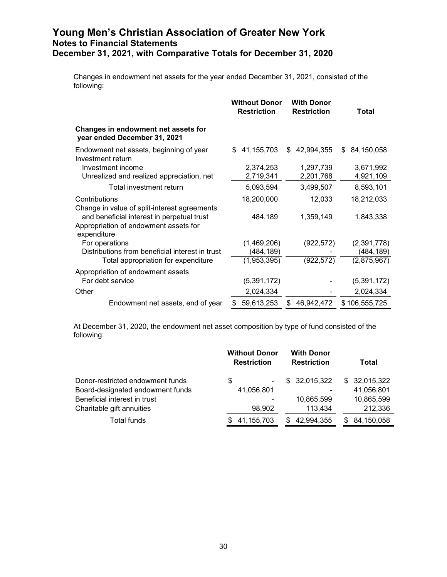Changes in endowment net assets for the year ended December 31, 2021, consisted of the following:

|                                                                                                                                                    | <b>Without Donor</b><br><b>Restriction</b> | <b>With Donor</b><br><b>Restriction</b> | Total            |
|----------------------------------------------------------------------------------------------------------------------------------------------------|--------------------------------------------|-----------------------------------------|------------------|
| Changes in endowment net assets for<br>year ended December 31, 2021                                                                                |                                            |                                         |                  |
| Endowment net assets, beginning of year<br>Investment return                                                                                       | 41,155,703<br>\$.                          | 42,994,355<br>\$                        | 84,150,058<br>S. |
| Investment income                                                                                                                                  | 2,374,253                                  | 1,297,739                               | 3,671,992        |
| Unrealized and realized appreciation, net                                                                                                          | 2,719,341                                  | 2,201,768                               | 4,921,109        |
| Total investment return                                                                                                                            | 5,093,594                                  | 3,499,507                               | 8,593,101        |
| Contributions                                                                                                                                      | 18,200,000                                 | 12,033                                  | 18,212,033       |
| Change in value of split-interest agreements<br>and beneficial interest in perpetual trust<br>Appropriation of endowment assets for<br>expenditure | 484,189                                    | 1,359,149                               | 1,843,338        |
| For operations                                                                                                                                     | (1,469,206)                                | (922, 572)                              | (2,391,778)      |
| Distributions from beneficial interest in trust                                                                                                    | (484,189)                                  |                                         | (484,189)        |
| Total appropriation for expenditure                                                                                                                | (1,953,395)                                | (922, 572)                              | (2,875,967)      |
| Appropriation of endowment assets                                                                                                                  |                                            |                                         |                  |
| For debt service                                                                                                                                   | (5,391,172)                                |                                         | (5,391,172)      |
| Other                                                                                                                                              | 2,024,334                                  |                                         | 2,024,334        |
| Endowment net assets, end of year                                                                                                                  | 59,613,253                                 | 46,942,472<br>S                         | \$106,555,725    |

At December 31, 2020, the endowment net asset composition by type of fund consisted of the following:

|                                  | <b>Without Donor</b><br><b>Restriction</b> | <b>With Donor</b><br><b>Restriction</b> | Total        |
|----------------------------------|--------------------------------------------|-----------------------------------------|--------------|
| Donor-restricted endowment funds | \$<br>$\blacksquare$                       | \$32,015,322                            | \$32,015,322 |
| Board-designated endowment funds | 41,056,801                                 |                                         | 41,056,801   |
| Beneficial interest in trust     | ۰                                          | 10.865.599                              | 10,865,599   |
| Charitable gift annuities        | 98,902                                     | 113,434                                 | 212,336      |
| Total funds                      | 41,155,703                                 | 42.994.355<br>S.                        | 84,150,058   |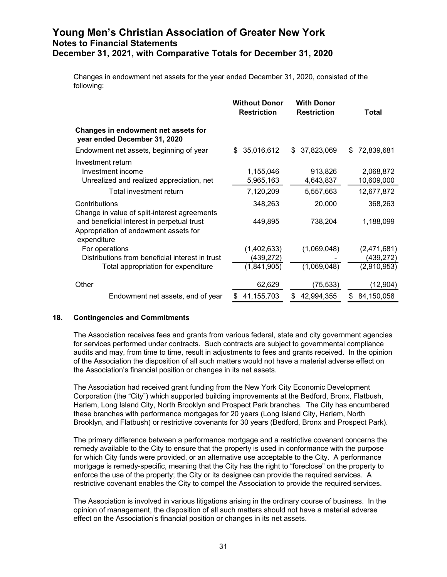Changes in endowment net assets for the year ended December 31, 2020, consisted of the following:

|                                                                                                    | <b>Without Donor</b><br><b>Restriction</b> | <b>With Donor</b><br><b>Restriction</b> | Total                   |
|----------------------------------------------------------------------------------------------------|--------------------------------------------|-----------------------------------------|-------------------------|
| Changes in endowment net assets for<br>year ended December 31, 2020                                |                                            |                                         |                         |
| Endowment net assets, beginning of year                                                            | 35,016,612<br>\$                           | 37,823,069<br>\$                        | 72,839,681<br>\$.       |
| Investment return<br>Investment income<br>Unrealized and realized appreciation, net                | 1,155,046<br>5,965,163                     | 913,826<br>4,643,837                    | 2,068,872<br>10,609,000 |
| Total investment return                                                                            | 7,120,209                                  | 5,557,663                               | 12,677,872              |
| Contributions<br>Change in value of split-interest agreements                                      | 348,263                                    | 20,000                                  | 368,263                 |
| and beneficial interest in perpetual trust<br>Appropriation of endowment assets for<br>expenditure | 449,895                                    | 738,204                                 | 1,188,099               |
| For operations                                                                                     | (1,402,633)                                | (1,069,048)                             | (2,471,681)             |
| Distributions from beneficial interest in trust                                                    | (439,272)                                  |                                         | (439,272)               |
| Total appropriation for expenditure                                                                | (1,841,905)                                | (1,069,048)                             | (2,910,953)             |
| Other                                                                                              | 62,629                                     | (75,533)                                | (12,904)                |
| Endowment net assets, end of year                                                                  | 41,155,703                                 | 42,994,355<br>\$                        | 84,150,058<br>S         |

#### **18. Contingencies and Commitments**

The Association receives fees and grants from various federal, state and city government agencies for services performed under contracts. Such contracts are subject to governmental compliance audits and may, from time to time, result in adjustments to fees and grants received. In the opinion of the Association the disposition of all such matters would not have a material adverse effect on the Association's financial position or changes in its net assets.

The Association had received grant funding from the New York City Economic Development Corporation (the "City") which supported building improvements at the Bedford, Bronx, Flatbush, Harlem, Long Island City, North Brooklyn and Prospect Park branches. The City has encumbered these branches with performance mortgages for 20 years (Long Island City, Harlem, North Brooklyn, and Flatbush) or restrictive covenants for 30 years (Bedford, Bronx and Prospect Park).

The primary difference between a performance mortgage and a restrictive covenant concerns the remedy available to the City to ensure that the property is used in conformance with the purpose for which City funds were provided, or an alternative use acceptable to the City. A performance mortgage is remedy-specific, meaning that the City has the right to "foreclose" on the property to enforce the use of the property; the City or its designee can provide the required services. A restrictive covenant enables the City to compel the Association to provide the required services.

The Association is involved in various litigations arising in the ordinary course of business. In the opinion of management, the disposition of all such matters should not have a material adverse effect on the Association's financial position or changes in its net assets.